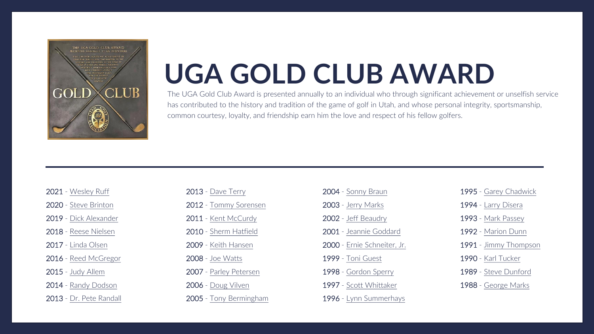

# **UGA GOLD CLUB AWARD**

The UGA Gold Club Award is presented annually to an individual who through significant achievement or unselfish service has contributed to the history and tradition of the game of golf in Utah, and whose personal integrity, sportsmanship, common courtesy, loyalty, and friendship earn him the love and respect of his fellow golfers.

| 2021 - Wesley Ruff |  |
|--------------------|--|
|                    |  |

2020 - [Steve Brinton](#page-2-0)

2019 - [Dick Alexander](#page-3-0)

2018 - [Reese Nielsen](#page-4-0)

2017 - [Linda Olsen](#page-5-0)

- [Reed McGregor](#page-6-0)

- [Judy Allem](#page-7-0)

- [Randy Dodson](#page-8-0)

- [Dr. Pete Randall](#page-9-0)

| 2013 - Dave Terry      |
|------------------------|
| 2012 - Tommy Sorensen  |
| 2011 - Kent McCurdy    |
| 2010 - Sherm Hatfield  |
| 2009 - Keith Hansen    |
| 2008 - Joe Watts       |
| 2007 - Parley Petersen |
| 2006 - Doug Vilven     |

- [Tony Bermingham](#page-19-0)

| <b>2004</b> - Sonny Braun   |
|-----------------------------|
| 2003 - Jerry Marks          |
| 2002 - Jeff Beaudry         |
| 2001 - Jeannie Goddard      |
| 2000 - Ernie Schneiter, Jr. |
| <b>1999 - Toni Guest</b>    |
| 1998 - Gordon Sperry        |
| 1997 - Scott Whittaker      |
|                             |

- [Lynn Summerhays](#page-28-0)

- Garey [Chadwick](#page-27-0)
- [Larry Disera](#page-28-0)
- [Mark Passey](#page-31-0)
- [Marion Dunn](#page-32-0)
- [Jimmy Thompson](#page-33-0)
- [Karl Tucker](#page-34-0)
- [Steve Dunford](#page-35-0)
- [George Marks](#page-36-0)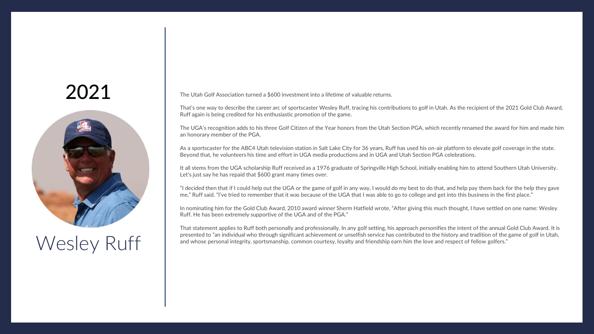<span id="page-1-0"></span>

# Wesley Ruff

The Utah Golf Association turned a \$600 investment into a lifetime of valuable returns.

That's one way to describe the career arc of sportscaster Wesley Ruff, tracing his contributions to golf in Utah. As the recipient of the 2021 Gold Club Award, Ruff again is being credited for his enthusiastic promotion of the game.

The UGA's recognition adds to his three Golf Citizen of the Year honors from the Utah Section PGA, which recently renamed the award for him and made him an honorary member of the PGA.

As a sportscaster for the ABC4 Utah television station in Salt Lake City for 36 years, Ruff has used his on-air platform to elevate golf coverage in the state. Beyond that, he volunteers his time and effort in UGA media productions and in UGA and Utah Section PGA celebrations.

It all stems from the UGA scholarship Ruff received as a 1976 graduate of Springville High School, initially enabling him to attend Southern Utah University. Let's just say he has repaid that \$600 grant many times over.

"I decided then that if I could help out the UGA or the game of golf in any way, I would do my best to do that, and help pay them back for the help they gave me," Ruff said. "I've tried to remember that it was because of the UGA that I was able to go to college and get into this business in the first place."

In nominating him for the Gold Club Award, 2010 award winner Sherm Hatfield wrote, "After giving this much thought, I have settled on one name: Wesley Ruff. He has been extremely supportive of the UGA and of the PGA."

That statement applies to Ruff both personally and professionally. In any golf setting, his approach personifies the intent of the annual Gold Club Award. It is presented to "an individual who through significant achievement or unselfish service has contributed to the history and tradition of the game of golf in Utah, and whose personal integrity, sportsmanship, common courtesy, loyalty and friendship earn him the love and respect of fellow golfers."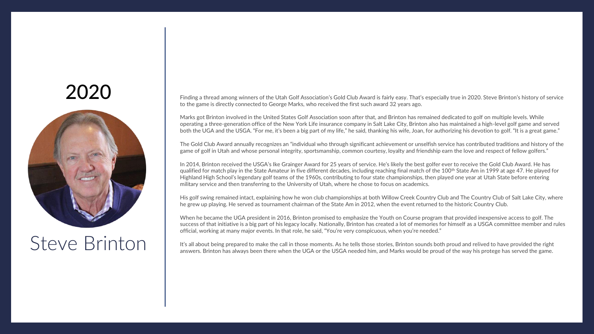<span id="page-2-0"></span>

#### Steve Brinton

Finding a thread among winners of the Utah Golf Association's Gold Club Award is fairly easy. That's especially true in 2020. Steve Brinton's history of service to the game is directly connected to George Marks, who received the first such award 32 years ago.

Marks got Brinton involved in the United States Golf Association soon after that, and Brinton has remained dedicated to golf on multiple levels. While operating a three-generation office of the New York Life insurance company in Salt Lake City, Brinton also has maintained a high-level golf game and served both the UGA and the USGA. "For me, it's been a big part of my life," he said, thanking his wife, Joan, for authorizing his devotion to golf. "It is a great game."

The Gold Club Award annually recognizes an "individual who through significant achievement or unselfish service has contributed traditions and history of the game of golf in Utah and whose personal integrity, sportsmanship, common courtesy, loyalty and friendship earn the love and respect of fellow golfers."

In 2014, Brinton received the USGA's Ike Grainger Award for 25 years of service. He's likely the best golfer ever to receive the Gold Club Award. He has qualified for match play in the State Amateur in five different decades, including reaching final match of the 100<sup>th</sup> State Am in 1999 at age 47. He played for Highland High School's legendary golf teams of the 1960s, contributing to four state championships, then played one year at Utah State before entering military service and then transferring to the University of Utah, where he chose to focus on academics.

His golf swing remained intact, explaining how he won club championships at both Willow Creek Country Club and The Country Club of Salt Lake City, where he grew up playing. He served as tournament chairman of the State Am in 2012, when the event returned to the historic Country Club.

When he became the UGA president in 2016, Brinton promised to emphasize the Youth on Course program that provided inexpensive access to golf. The success of that initiative is a big part of his legacy locally. Nationally, Brinton has created a lot of memories for himself as a USGA committee member and rules official, working at many major events. In that role, he said, "You're very conspicuous, when you're needed."

It's all about being prepared to make the call in those moments. As he tells those stories, Brinton sounds both proud and relived to have provided the right answers. Brinton has always been there when the UGA or the USGA needed him, and Marks would be proud of the way his protege has served the game.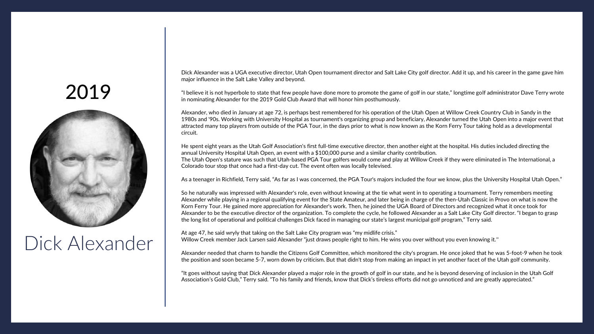<span id="page-3-0"></span>

#### Dick Alexander

Dick Alexander was a UGA executive director, Utah Open tournament director and Salt Lake City golf director. Add it up, and his career in the game gave him major influence in the Salt Lake Valley and beyond.

"I believe it is not hyperbole to state that few people have done more to promote the game of golf in our state," longtime golf administrator Dave Terry wrote in nominating Alexander for the 2019 Gold Club Award that will honor him posthumously.

Alexander, who died in January at age 72, is perhaps best remembered for his operation of the Utah Open at Willow Creek Country Club in Sandy in the 1980s and '90s. Working with University Hospital as tournament's organizing group and beneficiary, Alexander turned the Utah Open into a major event that attracted many top players from outside of the PGA Tour, in the days prior to what is now known as the Korn Ferry Tour taking hold as a developmental circuit.

He spent eight years as the Utah Golf Association's first full-time executive director, then another eight at the hospital. His duties included directing the annual University Hospital Utah Open, an event with a \$100,000 purse and a similar charity contribution. The Utah Open's stature was such that Utah-based PGA Tour golfers would come and play at Willow Creek if they were eliminated in The International, a Colorado tour stop that once had a first-day cut. The event often was locally televised.

As a teenager in Richfield, Terry said, "As far as I was concerned, the PGA Tour's majors included the four we know, plus the University Hospital Utah Open."

So he naturally was impressed with Alexander's role, even without knowing at the tie what went in to operating a tournament. Terry remembers meeting Alexander while playing in a regional qualifying event for the State Amateur, and later being in charge of the then-Utah Classic in Provo on what is now the Korn Ferry Tour. He gained more appreciation for Alexander's work. Then, he joined the UGA Board of Directors and recognized what it once took for Alexander to be the executive director of the organization. To complete the cycle, he followed Alexander as a Salt Lake City Golf director. "I began to grasp the long list of operational and political challenges Dick faced in managing our state's largest municipal golf program," Terry said.

At age 47, he said wryly that taking on the Salt Lake City program was "my midlife crisis." Willow Creek member Jack Larsen said Alexander "just draws people right to him. He wins you over without you even knowing it.''

Alexander needed that charm to handle the Citizens Golf Committee, which monitored the city's program. He once joked that he was 5-foot-9 when he took the position and soon became 5-7, worn down by criticism. But that didn't stop from making an impact in yet another facet of the Utah golf community.

"It goes without saying that Dick Alexander played a major role in the growth of golf in our state, and he is beyond deserving of inclusion in the Utah Golf Association's Gold Club," Terry said. "To his family and friends, know that Dick's tireless efforts did not go unnoticed and are greatly appreciated."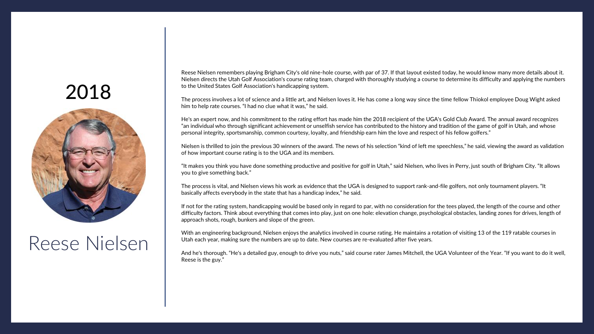<span id="page-4-0"></span>

#### Reese Nielsen

Reese Nielsen remembers playing Brigham City's old nine-hole course, with par of 37. If that layout existed today, he would know many more details about it. Nielsen directs the Utah Golf Association's course rating team, charged with thoroughly studying a course to determine its difficulty and applying the numbers to the United States Golf Association's handicapping system.

The process involves a lot of science and a little art, and Nielsen loves it. He has come a long way since the time fellow Thiokol employee Doug Wight asked him to help rate courses. "I had no clue what it was," he said.

He's an expert now, and his commitment to the rating effort has made him the 2018 recipient of the UGA's Gold Club Award. The annual award recognizes "an individual who through significant achievement or unselfish service has contributed to the history and tradition of the game of golf in Utah, and whose personal integrity, sportsmanship, common courtesy, loyalty, and friendship earn him the love and respect of his fellow golfers."

Nielsen is thrilled to join the previous 30 winners of the award. The news of his selection "kind of left me speechless," he said, viewing the award as validation of how important course rating is to the UGA and its members.

"It makes you think you have done something productive and positive for golf in Utah," said Nielsen, who lives in Perry, just south of Brigham City. "It allows you to give something back."

The process is vital, and Nielsen views his work as evidence that the UGA is designed to support rank-and-file golfers, not only tournament players. "It basically affects everybody in the state that has a handicap index," he said.

If not for the rating system, handicapping would be based only in regard to par, with no consideration for the tees played, the length of the course and other difficulty factors. Think about everything that comes into play, just on one hole: elevation change, psychological obstacles, landing zones for drives, length of approach shots, rough, bunkers and slope of the green.

With an engineering background, Nielsen enjoys the analytics involved in course rating. He maintains a rotation of visiting 13 of the 119 ratable courses in Utah each year, making sure the numbers are up to date. New courses are re-evaluated after five years.

And he's thorough. "He's a detailed guy, enough to drive you nuts," said course rater James Mitchell, the UGA Volunteer of the Year. "If you want to do it well, Reese is the guy."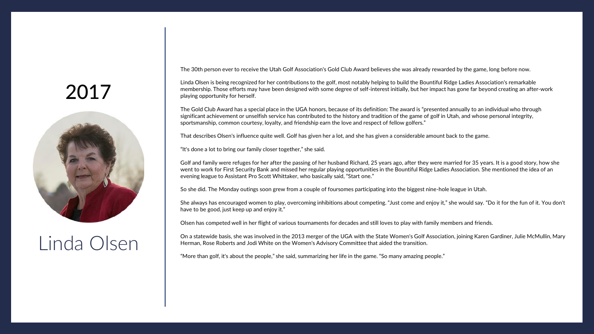<span id="page-5-0"></span>

# Linda Olsen

The 30th person ever to receive the Utah Golf Association's Gold Club Award believes she was already rewarded by the game, long before now.

Linda Olsen is being recognized for her contributions to the golf, most notably helping to build the Bountiful Ridge Ladies Association's remarkable membership. Those efforts may have been designed with some degree of self-interest initially, but her impact has gone far beyond creating an after-work playing opportunity for herself.

The Gold Club Award has a special place in the UGA honors, because of its definition: The award is "presented annually to an individual who through significant achievement or unselfish service has contributed to the history and tradition of the game of golf in Utah, and whose personal integrity, sportsmanship, common courtesy, loyalty, and friendship earn the love and respect of fellow golfers."

That describes Olsen's influence quite well. Golf has given her a lot, and she has given a considerable amount back to the game.

"It's done a lot to bring our family closer together," she said.

Golf and family were refuges for her after the passing of her husband Richard, 25 years ago, after they were married for 35 years. It is a good story, how she went to work for First Security Bank and missed her regular playing opportunities in the Bountiful Ridge Ladies Association. She mentioned the idea of an evening league to Assistant Pro Scott Whittaker, who basically said, "Start one."

So she did. The Monday outings soon grew from a couple of foursomes participating into the biggest nine-hole league in Utah.

She always has encouraged women to play, overcoming inhibitions about competing. "Just come and enjoy it," she would say. "Do it for the fun of it. You don't have to be good, just keep up and enjoy it."

Olsen has competed well in her flight of various tournaments for decades and still loves to play with family members and friends.

On a statewide basis, she was involved in the 2013 merger of the UGA with the State Women's Golf Association, joining Karen Gardiner, Julie McMullin, Mary Herman, Rose Roberts and Jodi White on the Women's Advisory Committee that aided the transition.

"More than golf, it's about the people," she said, summarizing her life in the game. "So many amazing people."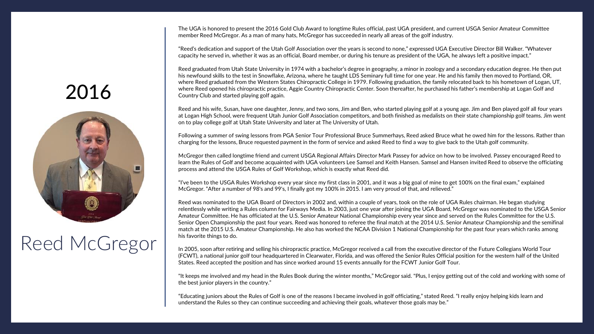The UGA is honored to present the 2016 Gold Club Award to longtime Rules official, past UGA president, and current USGA Senior Amateur Committee member Reed McGregor. As a man of many hats, McGregor has succeeded in nearly all areas of the golf industry.

"Reed's dedication and support of the Utah Golf Association over the years is second to none," expressed UGA Executive Director Bill Walker. "Whatever capacity he served in, whether it was as an official, Board member, or during his tenure as president of the UGA, he always left a positive impact."

Reed graduated from Utah State University in 1974 with a bachelor's degree in geography, a minor in zoology and a secondary education degree. He then put his newfound skills to the test in Snowflake, Arizona, where he taught LDS Seminary full time for one year. He and his family then moved to Portland, OR, where Reed graduated from the Western States Chiropractic College in 1979. Following graduation, the family relocated back to his hometown of Logan, UT, where Reed opened his chiropractic practice, Aggie Country Chiropractic Center. Soon thereafter, he purchased his father's membership at Logan Golf and Country Club and started playing golf again.

Reed and his wife, Susan, have one daughter, Jenny, and two sons, Jim and Ben, who started playing golf at a young age. Jim and Ben played golf all four years at Logan High School, were frequent Utah Junior Golf Association competitors, and both finished as medalists on their state championship golf teams. Jim went on to play college golf at Utah State University and later at The University of Utah.

Following a summer of swing lessons from PGA Senior Tour Professional Bruce Summerhays, Reed asked Bruce what he owed him for the lessons. Rather than charging for the lessons, Bruce requested payment in the form of service and asked Reed to find a way to give back to the Utah golf community.

McGregor then called longtime friend and current USGA Regional Affairs Director Mark Passey for advice on how to be involved. Passey encouraged Reed to learn the Rules of Golf and become acquainted with UGA volunteers Lee Samsel and Keith Hansen. Samsel and Hansen invited Reed to observe the officiating process and attend the USGA Rules of Golf Workshop, which is exactly what Reed did.

"I've been to the USGA Rules Workshop every year since my first class in 2001, and it was a big goal of mine to get 100% on the final exam," explained McGregor. "After a number of 98's and 99's, I finally got my 100% in 2015. I am very proud of that, and relieved."

Reed was nominated to the UGA Board of Directors in 2002 and, within a couple of years, took on the role of UGA Rules chairman. He began studying relentlessly while writing a Rules column for Fairways Media. In 2003, just one year after joining the UGA Board, McGregor was nominated to the USGA Senior Amateur Committee. He has officiated at the U.S. Senior Amateur National Championship every year since and served on the Rules Committee for the U.S. Senior Open Championship the past four years. Reed was honored to referee the final match at the 2014 U.S. Senior Amateur Championship and the semifinal match at the 2015 U.S. Amateur Championship. He also has worked the NCAA Division 1 National Championship for the past four years which ranks among his favorite things to do.

In 2005, soon after retiring and selling his chiropractic practice, McGregor received a call from the executive director of the Future Collegians World Tour (FCWT), a national junior golf tour headquartered in Clearwater, Florida, and was offered the Senior Rules Official position for the western half of the United States. Reed accepted the position and has since worked around 15 events annually for the FCWT Junior Golf Tour.

"It keeps me involved and my head in the Rules Book during the winter months," McGregor said. "Plus, I enjoy getting out of the cold and working with some of the best junior players in the country."

"Educating juniors about the Rules of Golf is one of the reasons I became involved in golf officiating," stated Reed. "I really enjoy helping kids learn and understand the Rules so they can continue succeeding and achieving their goals, whatever those goals may be."

# <span id="page-6-0"></span>2016



# Reed McGregor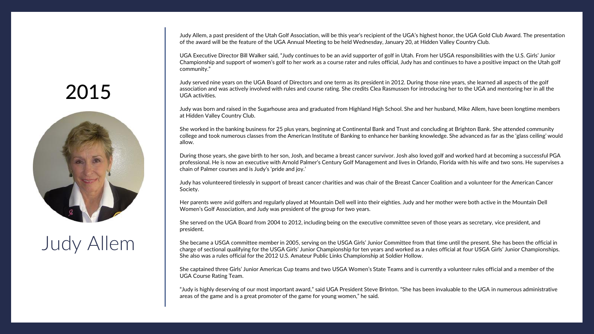Judy Allem, a past president of the Utah Golf Association, will be this year's recipient of the UGA's highest honor, the UGA Gold Club Award. The presentation of the award will be the feature of the UGA Annual Meeting to be held Wednesday, January 20, at Hidden Valley Country Club.

UGA Executive Director Bill Walker said, "Judy continues to be an avid supporter of golf in Utah. From her USGA responsibilities with the U.S. Girls' Junior Championship and support of women's golf to her work as a course rater and rules official, Judy has and continues to have a positive impact on the Utah golf community."

Judy served nine years on the UGA Board of Directors and one term as its president in 2012. During those nine years, she learned all aspects of the golf association and was actively involved with rules and course rating. She credits Clea Rasmussen for introducing her to the UGA and mentoring her in all the UGA activities.

Judy was born and raised in the Sugarhouse area and graduated from Highland High School. She and her husband, Mike Allem, have been longtime members at Hidden Valley Country Club.

She worked in the banking business for 25 plus years, beginning at Continental Bank and Trust and concluding at Brighton Bank. She attended community college and took numerous classes from the American Institute of Banking to enhance her banking knowledge. She advanced as far as the 'glass ceiling' would allow.

During those years, she gave birth to her son, Josh, and became a breast cancer survivor. Josh also loved golf and worked hard at becoming a successful PGA professional. He is now an executive with Arnold Palmer's Century Golf Management and lives in Orlando, Florida with his wife and two sons. He supervises a chain of Palmer courses and is Judy's 'pride and joy.'

Judy has volunteered tirelessly in support of breast cancer charities and was chair of the Breast Cancer Coalition and a volunteer for the American Cancer Society.

Her parents were avid golfers and regularly played at Mountain Dell well into their eighties. Judy and her mother were both active in the Mountain Dell Women's Golf Association, and Judy was president of the group for two years.

She served on the UGA Board from 2004 to 2012, including being on the executive committee seven of those years as secretary, vice president, and president.

She became a USGA committee member in 2005, serving on the USGA Girls' Junior Committee from that time until the present. She has been the official in charge of sectional qualifying for the USGA Girls' Junior Championship for ten years and worked as a rules official at four USGA Girls' Junior Championships. She also was a rules official for the 2012 U.S. Amateur Public Links Championship at Soldier Hollow.

She captained three Girls' Junior Americas Cup teams and two USGA Women's State Teams and is currently a volunteer rules official and a member of the UGA Course Rating Team.

"Judy is highly deserving of our most important award," said UGA President Steve Brinton. "She has been invaluable to the UGA in numerous administrative areas of the game and is a great promoter of the game for young women," he said.

#### <span id="page-7-0"></span>2015



# Judy Allem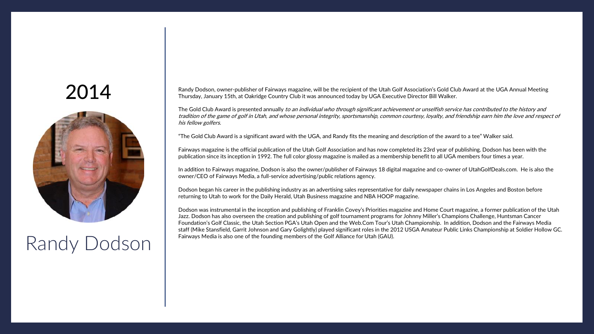<span id="page-8-0"></span>

# Fairways Media is also one of the founding members of the Golf Alliance for Utah (GAU).<br>Randy Dodson Interviews Media is also one of the founding members of the Golf Alliance for Utah (GAU).

Randy Dodson, owner-publisher of Fairways magazine, will be the recipient of the Utah Golf Association's Gold Club Award at the UGA Annual Meeting Thursday, January 15th, at Oakridge Country Club it was announced today by UGA Executive Director Bill Walker.

The Gold Club Award is presented annually to an individual who through significant achievement or unselfish service has contributed to the history and tradition of the game of golf in Utah, and whose personal integrity, sportsmanship, common courtesy, loyalty, and friendship earn him the love and respect of his fellow golfers.

"The Gold Club Award is a significant award with the UGA, and Randy fits the meaning and description of the award to a tee" Walker said.

Fairways magazine is the official publication of the Utah Golf Association and has now completed its 23rd year of publishing. Dodson has been with the publication since its inception in 1992. The full color glossy magazine is mailed as a membership benefit to all UGA members four times a year.

In addition to Fairways magazine, Dodson is also the owner/publisher of Fairways 18 digital magazine and co-owner of UtahGolfDeals.com. He is also the owner/CEO of Fairways Media, a full-service advertising/public relations agency.

Dodson began his career in the publishing industry as an advertising sales representative for daily newspaper chains in Los Angeles and Boston before returning to Utah to work for the Daily Herald, Utah Business magazine and NBA HOOP magazine.

Dodson was instrumental in the inception and publishing of Franklin Covey's Priorities magazine and Home Court magazine, a former publication of the Utah Jazz. Dodson has also overseen the creation and publishing of golf tournament programs for Johnny Miller's Champions Challenge, Huntsman Cancer Foundation's Golf Classic, the Utah Section PGA's Utah Open and the Web.Com Tour's Utah Championship. In addition, Dodson and the Fairways Media staff (Mike Stansfield, Garrit Johnson and Gary Golightly) played significant roles in the 2012 USGA Amateur Public Links Championship at Soldier Hollow GC.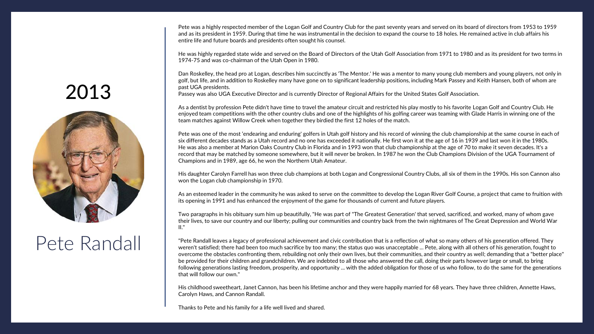Pete was a highly respected member of the Logan Golf and Country Club for the past seventy years and served on its board of directors from 1953 to 1959 and as its president in 1959. During that time he was instrumental in the decision to expand the course to 18 holes. He remained active in club affairs his entire life and future boards and presidents often sought his counsel.

He was highly regarded state wide and served on the Board of Directors of the Utah Golf Association from 1971 to 1980 and as its president for two terms in 1974-75 and was co-chairman of the Utah Open in 1980.

Dan Roskelley, the head pro at Logan, describes him succinctly as 'The Mentor.' He was a mentor to many young club members and young players, not only in golf, but life, and in addition to Roskelley many have gone on to significant leadership positions, including Mark Passey and Keith Hansen, both of whom are past UGA presidents.

Passey was also UGA Executive Director and is currently Director of Regional Affairs for the United States Golf Association.

As a dentist by profession Pete didn't have time to travel the amateur circuit and restricted his play mostly to his favorite Logan Golf and Country Club. He enjoyed team competitions with the other country clubs and one of the highlights of his golfing career was teaming with Glade Harris in winning one of the team matches against Willow Creek when together they birdied the first 12 holes of the match.

Pete was one of the most 'endearing and enduring' golfers in Utah golf history and his record of winning the club championship at the same course in each of six different decades stands as a Utah record and no one has exceeded it nationally. He first won it at the age of 16 in 1939 and last won it in the 1980s. He was also a member at Marion Oaks Country Club in Florida and in 1993 won that club championship at the age of 70 to make it seven decades. It's a record that may be matched by someone somewhere, but it will never be broken. In 1987 he won the Club Champions Division of the UGA Tournament of Champions and in 1989, age 66, he won the Northern Utah Amateur.

His daughter Carolyn Farrell has won three club champions at both Logan and Congressional Country Clubs, all six of them in the 1990s. His son Cannon also won the Logan club championship in 1970.

As an esteemed leader in the community he was asked to serve on the committee to develop the Logan River Golf Course, a project that came to fruition with its opening in 1991 and has enhanced the enjoyment of the game for thousands of current and future players.

Two paragraphs in his obituary sum him up beautifully, "He was part of "The Greatest Generation' that served, sacrificed, and worked, many of whom gave their lives, to save our country and our liberty; pulling our communities and country back from the twin nightmares of The Great Depression and World War II."

"Pete Randall leaves a legacy of professional achievement and civic contribution that is a reflection of what so many others of his generation offered. They weren't satisfied; there had been too much sacrifice by too many; the status quo was unacceptable ... Pete, along with all others of his generation, fought to overcome the obstacles confronting them, rebuilding not only their own lives, but their communities, and their country as well; demanding that a "better place" be provided for their children and grandchildren. We are indebted to all those who answered the call, doing their parts however large or small, to bring following generations lasting freedom, prosperity, and opportunity ... with the added obligation for those of us who follow, to do the same for the generations that will follow our own."

His childhood sweetheart, Janet Cannon, has been his lifetime anchor and they were happily married for 68 years. They have three children, Annette Haws, Carolyn Haws, and Cannon Randall.<br>2013 Thanks to Pete and his family for a life well lived and shared.

# <span id="page-9-0"></span>2013



#### Pete Randall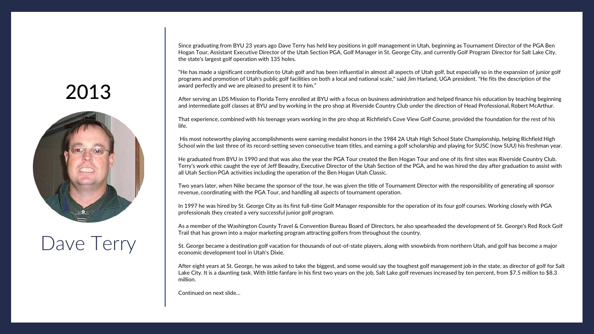Since graduating from BYU 23 years ago Dave Terry has held key positions in golf management in Utah, beginning as Tournament Director of the PGA Ben Hogan Tour, Assistant Executive Director of the Utah Section PGA, Golf Manager in St. George City, and currently Golf Program Director for Salt Lake City, the state's largest golf operation with 135 holes.

"He has made a significant contribution to Utah golf and has been influential in almost all aspects of Utah golf, but especially so in the expansion of junior golf programs and promotion of Utah's public golf facilities on both a local and national scale," said Jim Harland, UGA president. "He fits the description of the award perfectly and we are pleased to present it to him."

After serving an LDS Mission to Florida Terry enrolled at BYU with a focus on business administration and helped finance his education by teaching beginning and intermediate golf classes at BYU and by working in the pro shop at Riverside Country Club under the direction of Head Professional, Robert McArthur.

That experience, combined with his teenage years working in the pro shop at Richfield's Cove View Golf Course, provided the foundation for the rest of his life.

His most noteworthy playing accomplishments were earning medalist honors in the 1984 2A Utah High School State Championship, helping Richfield High School win the last three of its record-setting seven consecutive team titles, and earning a golf scholarship and playing for SUSC (now SUU) his freshman year.

He graduated from BYU in 1990 and that was also the year the PGA Tour created the Ben Hogan Tour and one of its first sites was Riverside Country Club. Terry's work ethic caught the eye of Jeff Beaudry, Executive Director of the Utah Section of the PGA, and he was hired the day after graduation to assist with all Utah Section PGA activities including the operation of the Ben Hogan Utah Classic.

Two years later, when Nike became the sponsor of the tour, he was given the title of Tournament Director with the responsibility of generating all sponsor revenue, coordinating with the PGA Tour, and handling all aspects of tournament operation.

In 1997 he was hired by St. George City as its first full-time Golf Manager responsible for the operation of its four golf courses. Working closely with PGA professionals they created a very successful junior golf program.

As a member of the Washington County Travel & Convention Bureau Board of Directors, he also spearheaded the development of St. George's Red Rock Golf Trail that has grown into a major marketing program attracting golfers from throughout the country.

St. George became a destination golf vacation for thousands of out-of-state players, along with snowbirds from northern Utah, and golf has become a major economic development tool in Utah's Dixie.

After eight years at St. George, he was asked to take the biggest, and some would say the toughest golf management job in the state, as director of golf for Salt Lake City. It is a daunting task. With little fanfare in his first two years on the job, Salt Lake golf revenues increased by ten percent, from \$7.5 million to \$8.3 million.

Continued on next slide…<br>2013<br>2014<br>2013<br>2014<br>2013

# <span id="page-10-0"></span>2013



# Dave Terry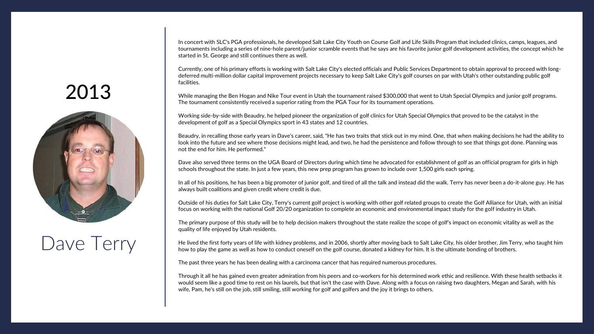In concert with SLC's PGA professionals, he developed Salt Lake City Youth on Course Golf and Life Skills Program that included clinics, camps, leagues, and tournaments including a series of nine-hole parent/junior scramble events that he says are his favorite junior golf development activities, the concept which he started in St. George and still continues there as well.

Currently, one of his primary efforts is working with Salt Lake City's elected officials and Public Services Department to obtain approval to proceed with longdeferred multi-million dollar capital improvement projects necessary to keep Salt Lake City's golf courses on par with Utah's other outstanding public golf facilities.

While managing the Ben Hogan and Nike Tour event in Utah the tournament raised \$300,000 that went to Utah Special Olympics and junior golf programs. The tournament consistently received a superior rating from the PGA Tour for its tournament operations.

Working side-by-side with Beaudry, he helped pioneer the organization of golf clinics for Utah Special Olympics that proved to be the catalyst in the development of golf as a Special Olympics sport in 43 states and 12 countries.

Beaudry, in recalling those early years in Dave's career, said, "He has two traits that stick out in my mind. One, that when making decisions he had the ability to look into the future and see where those decisions might lead, and two, he had the persistence and follow through to see that things got done. Planning was not the end for him. He performed."

Dave also served three terms on the UGA Board of Directors during which time he advocated for establishment of golf as an official program for girls in high schools throughout the state. In just a few years, this new prep program has grown to include over 1,500 girls each spring.

In all of his positions, he has been a big promoter of junior golf, and tired of all the talk and instead did the walk. Terry has never been a do-it-alone guy. He has always built coalitions and given credit where credit is due.

Outside of his duties for Salt Lake City, Terry's current golf project is working with other golf related groups to create the Golf Alliance for Utah, with an initial focus on working with the national Golf 20/20 organization to complete an economic and environmental impact study for the golf industry in Utah.

The primary purpose of this study will be to help decision makers throughout the state realize the scope of golf's impact on economic vitality as well as the quality of life enjoyed by Utah residents.

He lived the first forty years of life with kidney problems, and in 2006, shortly after moving back to Salt Lake City, his older brother, Jim Terry, who taught him how to play the game as well as how to conduct oneself on the golf course, donated a kidney for him. It is the ultimate bonding of brothers.

The past three years he has been dealing with a carcinoma cancer that has required numerous procedures.

Through it all he has gained even greater admiration from his peers and co-workers for his determined work ethic and resilience. With these health setbacks it would seem like a good time to rest on his laurels, but that isn't the case with Dave. Along with a focus on raising two daughters, Megan and Sarah, with his wife, Pam, he's still on the job, still smiling, still working for golf and golfers and the joy it brings to others.

# 2013



# Dave Terry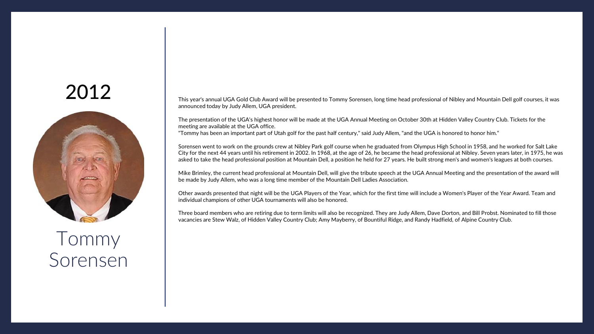

Tommy Sorensen This year's annual UGA Gold Club Award will be presented to Tommy Sorensen, long time head professional of Nibley and Mountain Dell golf courses, it was announced today by Judy Allem, UGA president.

The presentation of the UGA's highest honor will be made at the UGA Annual Meeting on October 30th at Hidden Valley Country Club. Tickets for the meeting are available at the UGA office. "Tommy has been an important part of Utah golf for the past half century," said Judy Allem, "and the UGA is honored to honor him."

Sorensen went to work on the grounds crew at Nibley Park golf course when he graduated from Olympus High School in 1958, and he worked for Salt Lake City for the next 44 years until his retirement in 2002. In 1968, at the age of 26, he became the head professional at Nibley. Seven years later, in 1975, he was asked to take the head professional position at Mountain Dell, a position he held for 27 years. He built strong men's and women's leagues at both courses.

Mike Brimley, the current head professional at Mountain Dell, will give the tribute speech at the UGA Annual Meeting and the presentation of the award will be made by Judy Allem, who was a long time member of the Mountain Dell Ladies Association.

Other awards presented that night will be the UGA Players of the Year, which for the first time will include a Women's Player of the Year Award. Team and individual champions of other UGA tournaments will also be honored.

Three board members who are retiring due to term limits will also be recognized. They are Judy Allem, Dave Dorton, and Bill Probst. Nominated to fill those vacancies are Stew Walz, of Hidden Valley Country Club; Amy Mayberry, of Bountiful Ridge, and Randy Hadfield, of Alpine Country Club.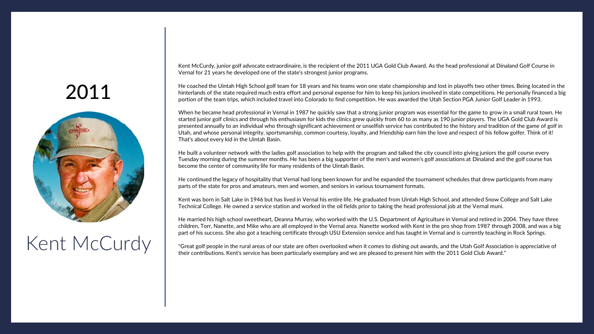<span id="page-13-0"></span>

# Kent McCurdy

Kent McCurdy, junior golf advocate extraordinaire, is the recipient of the 2011 UGA Gold Club Award. As the head professional at Dinaland Golf Course in Vernal for 21 years he developed one of the state's strongest junior programs.

He coached the Uintah High School golf team for 18 years and his teams won one state championship and lost in playoffs two other times. Being located in the hinterlands of the state required much extra effort and personal expense for him to keep his juniors involved in state competitions. He personally financed a big portion of the team trips, which included travel into Colorado to find competition. He was awarded the Utah Section PGA Junior Golf Leader in 1993.

When he became head professional in Vernal in 1987 he quickly saw that a strong junior program was essential for the game to grow in a small rural town. He started junior golf clinics and through his enthusiasm for kids the clinics grew quickly from 60 to as many as 190 junior players. The UGA Gold Club Award is presented annually to an individual who through significant achievement or unselfish service has contributed to the history and tradition of the game of golf in Utah, and whose personal integrity, sportsmanship, common courtesy, loyalty, and friendship earn him the love and respect of his fellow golfer. Think of it! That's about every kid in the Uintah Basin.

He built a volunteer network with the ladies golf association to help with the program and talked the city council into giving juniors the golf course every Tuesday morning during the summer months. He has been a big supporter of the men's and women's golf associations at Dinaland and the golf course has become the center of community life for many residents of the Uintah Basin.

He continued the legacy of hospitality that Vernal had long been known for and he expanded the tournament schedules that drew participants from many parts of the state for pros and amateurs, men and women, and seniors in various tournament formats.

Kent was born in Salt Lake in 1946 but has lived in Vernal his entire life. He graduated from Uintah High School, and attended Snow College and Salt Lake Technical College. He owned a service station and worked in the oil fields prior to taking the head professional job at the Vernal muni.

He married his high school sweetheart, Deanna Murray, who worked with the U.S. Department of Agriculture in Vernal and retired in 2004. They have three children, Torr, Nanette, and Mike who are all employed in the Vernal area. Nanette worked with Kent in the pro shop from 1987 through 2008, and was a big part of his success. She also got a teaching certificate through USU Extension service and has taught in Vernal and is currently teaching in Rock Springs.

"Great golf people in the rural areas of our state are often overlooked when it comes to dishing out awards, and the Utah Golf Association is appreciative of their contributions. Kent's service has been particularly exemplary and we are pleased to present him with the 2011 Gold Club Award."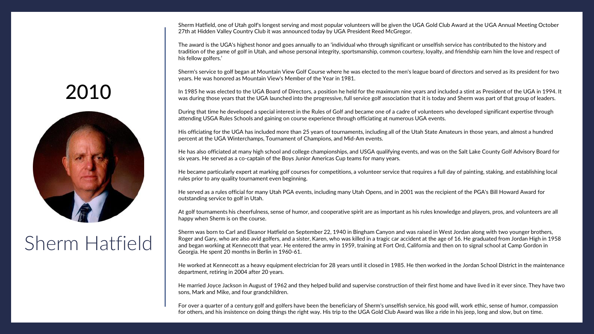Sherm Hatfield, one of Utah golf's longest serving and most popular volunteers will be given the UGA Gold Club Award at the UGA Annual Meeting October 27th at Hidden Valley Country Club it was announced today by UGA President Reed McGregor.

The award is the UGA's highest honor and goes annually to an 'individual who through significant or unselfish service has contributed to the history and tradition of the game of golf in Utah, and whose personal integrity, sportsmanship, common courtesy, loyalty, and friendship earn him the love and respect of his fellow golfers.'

Sherm's service to golf began at Mountain View Golf Course where he was elected to the men's league board of directors and served as its president for two years. He was honored as Mountain View's Member of the Year in 1981.

In 1985 he was elected to the UGA Board of Directors, a position he held for the maximum nine years and included a stint as President of the UGA in 1994. It was during those years that the UGA launched into the progressive, full service golf association that it is today and Sherm was part of that group of leaders.

During that time he developed a special interest in the Rules of Golf and became one of a cadre of volunteers who developed significant expertise through attending USGA Rules Schools and gaining on course experience through officiating at numerous UGA events.

His officiating for the UGA has included more than 25 years of tournaments, including all of the Utah State Amateurs in those years, and almost a hundred percent at the UGA Winterchamps, Tournament of Champions, and Mid-Am events.

He has also officiated at many high school and college championships, and USGA qualifying events, and was on the Salt Lake County Golf Advisory Board for six years. He served as a co-captain of the Boys Junior Americas Cup teams for many years.

He became particularly expert at marking golf courses for competitions, a volunteer service that requires a full day of painting, staking, and establishing local rules prior to any quality tournament even beginning.

He served as a rules official for many Utah PGA events, including many Utah Opens, and in 2001 was the recipient of the PGA's Bill Howard Award for outstanding service to golf in Utah.

At golf tournaments his cheerfulness, sense of humor, and cooperative spirit are as important as his rules knowledge and players, pros, and volunteers are all happy when Sherm is on the course.

Sherm was born to Carl and Eleanor Hatfield on September 22, 1940 in Bingham Canyon and was raised in West Jordan along with two younger brothers, Roger and Gary, who are also avid golfers, and a sister, Karen, who was killed in a tragic car accident at the age of 16. He graduated from Jordan High in 1958 and began working at Kennecott that year. He entered the army in 1959, training at Fort Ord, California and then on to signal school at Camp Gordon in Georgia. He spent 20 months in Berlin in 1960-61.

He worked at Kennecott as a heavy equipment electrician for 28 years until it closed in 1985. He then worked in the Jordan School District in the maintenance department, retiring in 2004 after 20 years.

He married Joyce Jackson in August of 1962 and they helped build and supervise construction of their first home and have lived in it ever since. They have two sons, Mark and Mike, and four grandchildren.

For over a quarter of a century golf and golfers have been the beneficiary of Sherm's unselfish service, his good will, work ethic, sense of humor, compassion for others, and his insistence on doing things the right way. His trip to the UGA Gold Club Award was like a ride in his jeep, long and slow, but on time.

# <span id="page-14-0"></span>2010



# Sherm Hatfield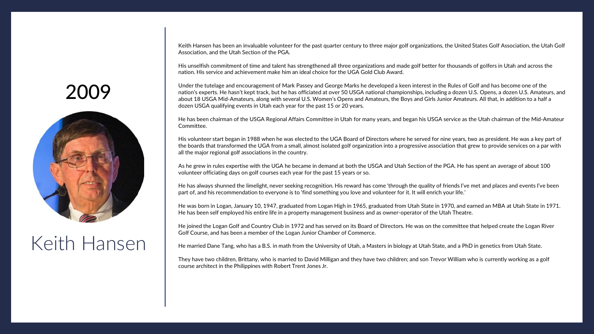Keith Hansen has been an invaluable volunteer for the past quarter century to three major golf organizations, the United States Golf Association, the Utah Golf Association, and the Utah Section of the PGA.

His unselfish commitment of time and talent has strengthened all three organizations and made golf better for thousands of golfers in Utah and across the nation. His service and achievement make him an ideal choice for the UGA Gold Club Award.

Under the tutelage and encouragement of Mark Passey and George Marks he developed a keen interest in the Rules of Golf and has become one of the nation's experts. He hasn't kept track, but he has officiated at over 50 USGA national championships, including a dozen U.S. Opens, a dozen U.S. Amateurs, and about 18 USGA Mid-Amateurs, along with several U.S. Women's Opens and Amateurs, the Boys and Girls Junior Amateurs. All that, in addition to a half a dozen USGA qualifying events in Utah each year for the past 15 or 20 years.

He has been chairman of the USGA Regional Affairs Committee in Utah for many years, and began his USGA service as the Utah chairman of the Mid-Amateur Committee.

His volunteer start began in 1988 when he was elected to the UGA Board of Directors where he served for nine years, two as president. He was a key part of the boards that transformed the UGA from a small, almost isolated golf organization into a progressive association that grew to provide services on a par with all the major regional golf associations in the country.

As he grew in rules expertise with the UGA he became in demand at both the USGA and Utah Section of the PGA. He has spent an average of about 100 volunteer officiating days on golf courses each year for the past 15 years or so.

He has always shunned the limelight, never seeking recognition. His reward has come 'through the quality of friends I've met and places and events I've been part of, and his recommendation to everyone is to 'find something you love and volunteer for it. It will enrich your life.'

He was born in Logan, January 10, 1947, graduated from Logan High in 1965, graduated from Utah State in 1970, and earned an MBA at Utah State in 1971. He has been self employed his entire life in a property management business and as owner-operator of the Utah Theatre.

He joined the Logan Golf and Country Club in 1972 and has served on its Board of Directors. He was on the committee that helped create the Logan River Golf Course, and has been a member of the Logan Junior Chamber of Commerce.

He married Dane Tang, who has a B.S. in math from the University of Utah, a Masters in biology at Utah State, and a PhD in genetics from Utah State.

They have two children, Brittany, who is married to David Milligan and they have two children; and son Trevor William who is currently working as a golf course architect in the Philippines with Robert Trent Jones Jr.

#### <span id="page-15-0"></span>2009



# Keith Hansen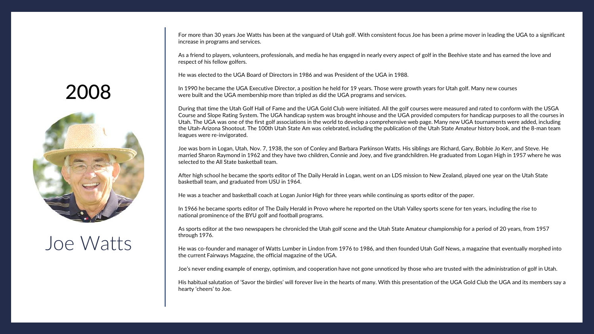For more than 30 years Joe Watts has been at the vanguard of Utah golf. With consistent focus Joe has been a prime mover in leading the UGA to a significant increase in programs and services.

As a friend to players, volunteers, professionals, and media he has engaged in nearly every aspect of golf in the Beehive state and has earned the love and respect of his fellow golfers.

He was elected to the UGA Board of Directors in 1986 and was President of the UGA in 1988.

In 1990 he became the UGA Executive Director, a position he held for 19 years. Those were growth years for Utah golf. Many new courses were built and the UGA membership more than tripled as did the UGA programs and services.

During that time the Utah Golf Hall of Fame and the UGA Gold Club were initiated. All the golf courses were measured and rated to conform with the USGA Course and Slope Rating System. The UGA handicap system was brought inhouse and the UGA provided computers for handicap purposes to all the courses in Utah. The UGA was one of the first golf associations in the world to develop a comprehensive web page. Many new UGA tournaments were added, including the Utah-Arizona Shootout. The 100th Utah State Am was celebrated, including the publication of the Utah State Amateur history book, and the 8-man team leagues were re-invigorated.

Joe was born in Logan, Utah, Nov. 7, 1938, the son of Conley and Barbara Parkinson Watts. His siblings are Richard, Gary, Bobbie Jo Kerr, and Steve. He married Sharon Raymond in 1962 and they have two children, Connie and Joey, and five grandchildren. He graduated from Logan High in 1957 where he was selected to the All State basketball team.

After high school he became the sports editor of The Daily Herald in Logan, went on an LDS mission to New Zealand, played one year on the Utah State basketball team, and graduated from USU in 1964.

He was a teacher and basketball coach at Logan Junior High for three years while continuing as sports editor of the paper.

In 1966 he became sports editor of The Daily Herald in Provo where he reported on the Utah Valley sports scene for ten years, including the rise to national prominence of the BYU golf and football programs.

As sports editor at the two newspapers he chronicled the Utah golf scene and the Utah State Amateur championship for a period of 20 years, from 1957 through 1976.

He was co-founder and manager of Watts Lumber in Lindon from 1976 to 1986, and then founded Utah Golf News, a magazine that eventually morphed into the current Fairways Magazine, the official magazine of the UGA.

Joe's never ending example of energy, optimism, and cooperation have not gone unnoticed by those who are trusted with the administration of golf in Utah.

His habitual salutation of 'Savor the birdies' will forever live in the hearts of many. With this presentation of the UGA Gold Club the UGA and its members say a hearty 'cheers' to Joe.

#### <span id="page-16-0"></span>2008



#### Joe Watts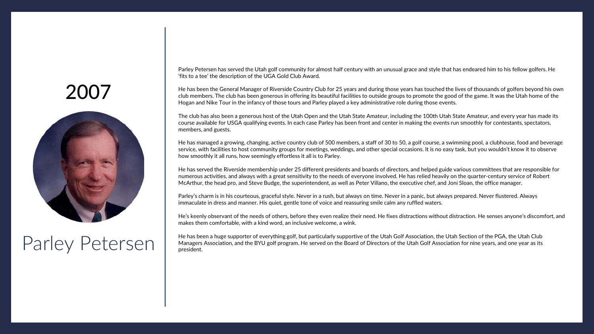<span id="page-17-0"></span>

#### Parley Petersen

Parley Petersen has served the Utah golf community for almost half century with an unusual grace and style that has endeared him to his fellow golfers. He 'fits to a tee' the description of the UGA Gold Club Award.

He has been the General Manager of Riverside Country Club for 25 years and during those years has touched the lives of thousands of golfers beyond his own club members. The club has been generous in offering its beautiful facilities to outside groups to promote the good of the game. It was the Utah home of the Hogan and Nike Tour in the infancy of those tours and Parley played a key administrative role during those events.

The club has also been a generous host of the Utah Open and the Utah State Amateur, including the 100th Utah State Amateur, and every year has made its course available for USGA qualifying events. In each case Parley has been front and center in making the events run smoothly for contestants, spectators, members, and guests.

He has managed a growing, changing, active country club of 500 members, a staff of 30 to 50, a golf course, a swimming pool, a clubhouse, food and beverage service, with facilities to host community groups for meetings, weddings, and other special occasions. It is no easy task, but you wouldn't know it to observe how smoothly it all runs, how seemingly effortless it all is to Parley.

He has served the Riverside membership under 25 different presidents and boards of directors, and helped guide various committees that are responsible for numerous activities, and always with a great sensitivity to the needs of everyone involved. He has relied heavily on the quarter-century service of Robert McArthur, the head pro, and Steve Budge, the superintendent, as well as Peter Villano, the executive chef, and Joni Sloan, the office manager.

Parley's charm is in his courteous, graceful style. Never in a rush, but always on time. Never in a panic, but always prepared. Never flustered. Always immaculate in dress and manner. His quiet, gentle tone of voice and reassuring smile calm any ruffled waters.

He's keenly observant of the needs of others, before they even realize their need. He fixes distractions without distraction. He senses anyone's discomfort, and makes them comfortable, with a kind word, an inclusive welcome, a wink.

He has been a huge supporter of everything golf, but particularly supportive of the Utah Golf Association, the Utah Section of the PGA, the Utah Club Managers Association, and the BYU golf program. He served on the Board of Directors of the Utah Golf Association for nine years, and one year as its president.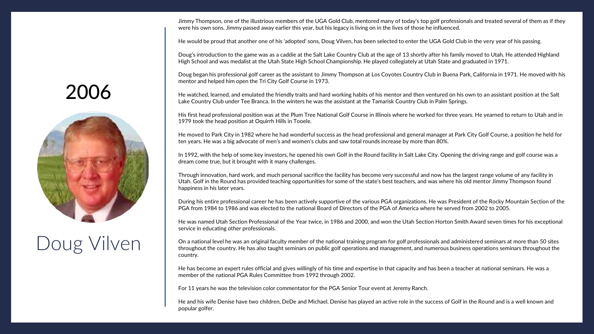Jimmy Thompson, one of the illustrious members of the UGA Gold Club, mentored many of today's top golf professionals and treated several of them as if they were his own sons. Jimmy passed away earlier this year, but his legacy is living on in the lives of those he influenced.

He would be proud that another one of his 'adopted' sons, Doug Vilven, has been selected to enter the UGA Gold Club in the very year of his passing.

Doug's introduction to the game was as a caddie at the Salt Lake Country Club at the age of 13 shortly after his family moved to Utah. He attended Highland High School and was medalist at the Utah State High School Championship. He played collegiately at Utah State and graduated in 1971.

Doug began his professional golf career as the assistant to Jimmy Thompson at Los Coyotes Country Club in Buena Park, California in 1971. He moved with his mentor and helped him open the Tri City Golf Course in 1973.

He watched, learned, and emulated the friendly traits and hard working habits of his mentor and then ventured on his own to an assistant position at the Salt Lake Country Club under Tee Branca. In the winters he was the assistant at the Tamarisk Country Club in Palm Springs.

His first head professional position was at the Plum Tree National Golf Course in Illinois where he worked for three years. He yearned to return to Utah and in 1979 took the head position at Oquirrh Hills in Tooele.

He moved to Park City in 1982 where he had wonderful success as the head professional and general manager at Park City Golf Course, a position he held for ten years. He was a big advocate of men's and women's clubs and saw total rounds increase by more than 80%.

In 1992, with the help of some key investors, he opened his own Golf in the Round facility in Salt Lake City. Opening the driving range and golf course was a dream come true, but it brought with it many challenges.

Through innovation, hard work, and much personal sacrifice the facility has become very successful and now has the largest range volume of any facility in Utah. Golf in the Round has provided teaching opportunities for some of the state's best teachers, and was where his old mentor Jimmy Thompson found happiness in his later years.

During his entire professional career he has been actively supportive of the various PGA organizations. He was President of the Rocky Mountain Section of the PGA from 1984 to 1986 and was elected to the national Board of Directors of the PGA of America where he served from 2002 to 2005.

He was named Utah Section Professional of the Year twice, in 1986 and 2000, and won the Utah Section Horton Smith Award seven times for his exceptional service in educating other professionals.

On a national level he was an original faculty member of the national training program for golf professionals and administered seminars at more than 50 sites throughout the country. He has also taught seminars on public golf operations and management, and numerous business operations seminars throughout the country.

He has become an expert rules official and gives willingly of his time and expertise in that capacity and has been a teacher at national seminars. He was a member of the national PGA Rules Committee from 1992 through 2002.

For 11 years he was the television color commentator for the PGA Senior Tour event at Jeremy Ranch.

He and his wife Denise have two children, DeDe and Michael. Denise has played an active role in the success of Golf in the Round and is a well known and popular golfer.

# <span id="page-18-0"></span>2006



# Doug Vilven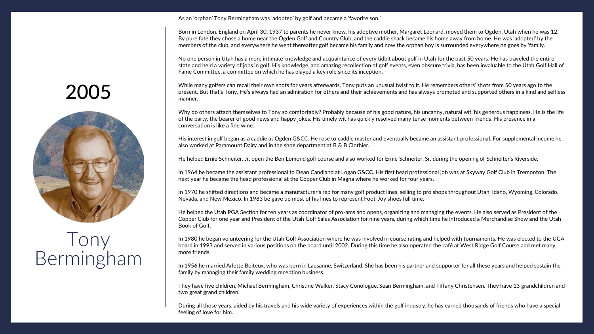As an 'orphan' Tony Bermingham was 'adopted' by golf and became a 'favorite son.'

Born in London, England on April 30, 1937 to parents he never knew, his adoptive mother, Margaret Leonard, moved them to Ogden, Utah when he was 12. By pure fate they chose a home near the Ogden Golf and Country Club, and the caddie shack became his home away from home. He was 'adopted' by the members of the club, and everywhere he went thereafter golf became his family and now the orphan boy is surrounded everywhere he goes by 'family.'

No one person in Utah has a more intimate knowledge and acquaintance of every tidbit about golf in Utah for the past 50 years. He has traveled the entire state and held a variety of jobs in golf. His knowledge, and amazing recollection of golf events, even obscure trivia, has been invaluable to the Utah Golf Hall of Fame Committee, a committee on which he has played a key role since its inception.

While many golfers can recall their own shots for years afterwards, Tony puts an unusual twist to it. He remembers others' shots from 50 years ago to the present. But that's Tony. He's always had an admiration for others and their achievements and has always promoted and supported others in a kind and selfless manner.

Why do others attach themselves to Tony so comfortably? Probably because of his good nature, his uncanny, natural wit, his generous happiness. He is the life of the party, the bearer of good news and happy jokes. His timely wit has quickly resolved many tense moments between friends. His presence in a conversation is like a fine wine.

His interest in golf began as a caddie at Ogden G&CC. He rose to caddie master and eventually became an assistant professional. For supplemental income he also worked at Paramount Dairy and in the shoe department at B & B Clothier.

He helped Ernie Schneiter, Jr. open the Ben Lomond golf course and also worked for Ernie Schneiter, Sr. during the opening of Schneiter's Riverside.

In 1964 be became the assistant professional to Dean Candland at Logan G&CC. His first head professional job was at Skyway Golf Club in Tremonton. The next year he became the head professional at the Copper Club in Magna where he worked for four years.

In 1970 he shifted directions and became a manufacturer's rep for many golf product lines, selling to pro shops throughout Utah, Idaho, Wyoming, Colorado, Nevada, and New Mexico. In 1983 be gave up most of his lines to represent Foot-Joy shoes full time.

He helped the Utah PGA Section for ten years as coordinator of pro-ams and opens, organizing and managing the events. He also served as President of the Copper Club for one year and President of the Utah Golf Sales Association for nine years, during which time he introduced a Merchandise Show and the Utah Book of Golf.

In 1980 he began volunteering for the Utah Golf Association where he was involved in course rating and helped with tournaments. He was elected to the UGA board in 1993 and served in various positions on the board until 2002. During this time he also operated the café at West Ridge Golf Course and met many more friends.

In 1956 he married Arlette Boiteux, who was born in Lausanne, Switzerland. She has been his partner and supporter for all these years and helped sustain the family by managing their family wedding reception business.

They have five children, Michael Bermingham, Christine Walker, Stacy Conologue, Sean Bermingham, and Tiffany Christensen. They have 13 grandchildren and two great grand children.

During all those years, aided by his travels and his wide variety of experiences within the golf industry, he has earned thousands of friends who have a special feeling of love for him.

# <span id="page-19-0"></span>2005



#### Tony Bermingham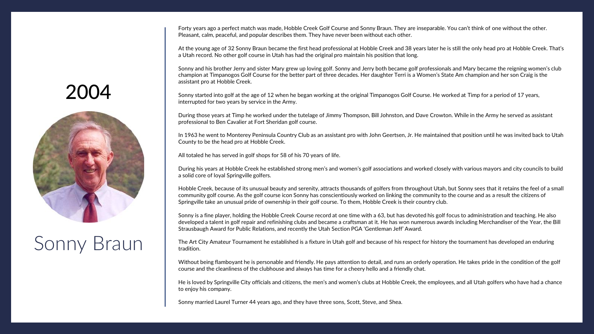Forty years ago a perfect match was made, Hobble Creek Golf Course and Sonny Braun. They are inseparable. You can't think of one without the other. Pleasant, calm, peaceful, and popular describes them. They have never been without each other.

At the young age of 32 Sonny Braun became the first head professional at Hobble Creek and 38 years later he is still the only head pro at Hobble Creek. That's a Utah record. No other golf course in Utah has had the original pro maintain his position that long.

Sonny and his brother Jerry and sister Mary grew up loving golf. Sonny and Jerry both became golf professionals and Mary became the reigning women's club champion at Timpanogos Golf Course for the better part of three decades. Her daughter Terri is a Women's State Am champion and her son Craig is the assistant pro at Hobble Creek.

Sonny started into golf at the age of 12 when he began working at the original Timpanogos Golf Course. He worked at Timp for a period of 17 years, interrupted for two years by service in the Army.

During those years at Timp he worked under the tutelage of Jimmy Thompson, Bill Johnston, and Dave Crowton. While in the Army he served as assistant professional to Ben Cavalier at Fort Sheridan golf course.

In 1963 he went to Monterey Peninsula Country Club as an assistant pro with John Geertsen, Jr. He maintained that position until he was invited back to Utah County to be the head pro at Hobble Creek.

All totaled he has served in golf shops for 58 of his 70 years of life.

During his years at Hobble Creek he established strong men's and women's golf associations and worked closely with various mayors and city councils to build a solid core of loyal Springville golfers.

Hobble Creek, because of its unusual beauty and serenity, attracts thousands of golfers from throughout Utah, but Sonny sees that it retains the feel of a small community golf course. As the golf course icon Sonny has conscientiously worked on linking the community to the course and as a result the citizens of Springville take an unusual pride of ownership in their golf course. To them, Hobble Creek is their country club.

Sonny is a fine player, holding the Hobble Creek Course record at one time with a 63, but has devoted his golf focus to administration and teaching. He also developed a talent in golf repair and refinishing clubs and became a craftsman at it. He has won numerous awards including Merchandiser of the Year, the Bill Strausbaugh Award for Public Relations, and recently the Utah Section PGA 'Gentleman Jeff' Award.

The Art City Amateur Tournament he established is a fixture in Utah golf and because of his respect for history the tournament has developed an enduring tradition.

Without being flamboyant he is personable and friendly. He pays attention to detail, and runs an orderly operation. He takes pride in the condition of the golf course and the cleanliness of the clubhouse and always has time for a cheery hello and a friendly chat.

He is loved by Springville City officials and citizens, the men's and women's clubs at Hobble Creek, the employees, and all Utah golfers who have had a chance to enjoy his company.

Sonny married Laurel Turner 44 years ago, and they have three sons, Scott, Steve, and Shea.

# 2004



# Sonny Braun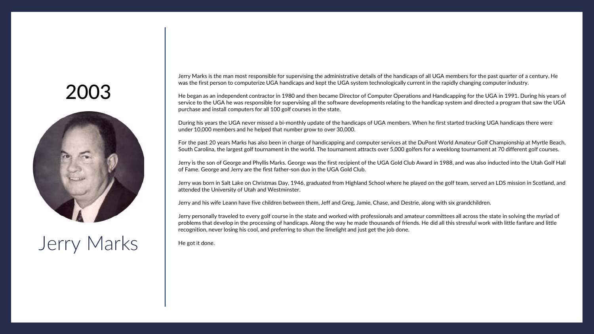

# Jerry Marks

Jerry Marks is the man most responsible for supervising the administrative details of the handicaps of all UGA members for the past quarter of a century. He was the first person to computerize UGA handicaps and kept the UGA system technologically current in the rapidly changing computer industry.

He began as an independent contractor in 1980 and then became Director of Computer Operations and Handicapping for the UGA in 1991. During his years of service to the UGA he was responsible for supervising all the software developments relating to the handicap system and directed a program that saw the UGA purchase and install computers for all 100 golf courses in the state.

During his years the UGA never missed a bi-monthly update of the handicaps of UGA members. When he first started tracking UGA handicaps there were under 10,000 members and he helped that number grow to over 30,000.

For the past 20 years Marks has also been in charge of handicapping and computer services at the DuPont World Amateur Golf Championship at Myrtle Beach, South Carolina, the largest golf tournament in the world. The tournament attracts over 5,000 golfers for a weeklong tournament at 70 different golf courses.

Jerry is the son of George and Phyllis Marks. George was the first recipient of the UGA Gold Club Award in 1988, and was also inducted into the Utah Golf Hall of Fame. George and Jerry are the first father-son duo in the UGA Gold Club.

Jerry was born in Salt Lake on Christmas Day, 1946, graduated from Highland School where he played on the golf team, served an LDS mission in Scotland, and attended the University of Utah and Westminster.

Jerry and his wife Leann have five children between them, Jeff and Greg, Jamie, Chase, and Destrie, along with six grandchildren.

Jerry personally traveled to every golf course in the state and worked with professionals and amateur committees all across the state in solving the myriad of problems that develop in the processing of handicaps. Along the way he made thousands of friends. He did all this stressful work with little fanfare and little recognition, never losing his cool, and preferring to shun the limelight and just get the job done.

He got it done.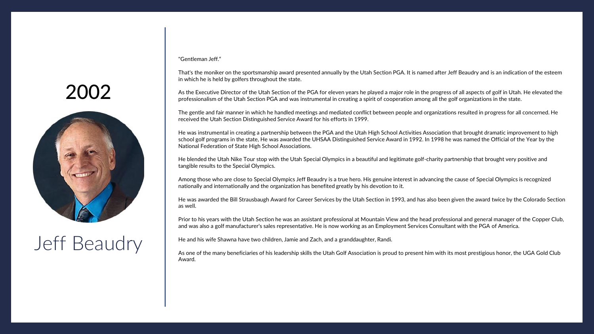<span id="page-22-0"></span>

# Jeff Beaudry

"Gentleman Jeff."

That's the moniker on the sportsmanship award presented annually by the Utah Section PGA. It is named after Jeff Beaudry and is an indication of the esteem in which he is held by golfers throughout the state.

As the Executive Director of the Utah Section of the PGA for eleven years he played a major role in the progress of all aspects of golf in Utah. He elevated the professionalism of the Utah Section PGA and was instrumental in creating a spirit of cooperation among all the golf organizations in the state.

The gentle and fair manner in which he handled meetings and mediated conflict between people and organizations resulted in progress for all concerned. He received the Utah Section Distinguished Service Award for his efforts in 1999.

He was instrumental in creating a partnership between the PGA and the Utah High School Activities Association that brought dramatic improvement to high school golf programs in the state, He was awarded the UHSAA Distinguished Service Award in 1992. In 1998 he was named the Official of the Year by the National Federation of State High School Associations.

He blended the Utah Nike Tour stop with the Utah Special Olympics in a beautiful and legitimate golf-charity partnership that brought very positive and tangible results to the Special Olympics.

Among those who are close to Special Olympics Jeff Beaudry is a true hero. His genuine interest in advancing the cause of Special Olympics is recognized nationally and internationally and the organization has benefited greatly by his devotion to it.

He was awarded the Bill Strausbaugh Award for Career Services by the Utah Section in 1993, and has also been given the award twice by the Colorado Section as well.

Prior to his years with the Utah Section he was an assistant professional at Mountain View and the head professional and general manager of the Copper Club, and was also a golf manufacturer's sales representative. He is now working as an Employment Services Consultant with the PGA of America.

He and his wife Shawna have two children, Jamie and Zach, and a granddaughter, Randi.

As one of the many beneficiaries of his leadership skills the Utah Golf Association is proud to present him with its most prestigious honor, the UGA Gold Club Award.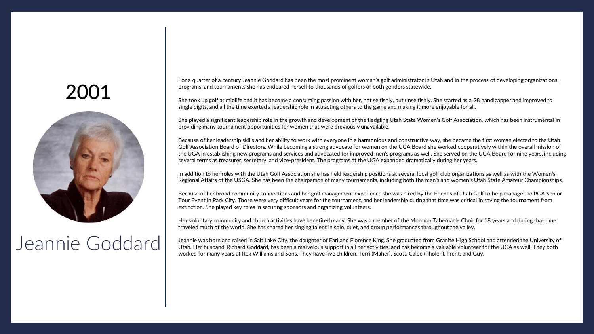<span id="page-23-0"></span>

#### Jeannie Goddard

For a quarter of a century Jeannie Goddard has been the most prominent woman's golf administrator in Utah and in the process of developing organizations, programs, and tournaments she has endeared herself to thousands of golfers of both genders statewide.

She took up golf at midlife and it has become a consuming passion with her, not selfishly, but unselfishly. She started as a 28 handicapper and improved to single digits, and all the time exerted a leadership role in attracting others to the game and making it more enjoyable for all.

She played a significant leadership role in the growth and development of the fledgling Utah State Women's Golf Association, which has been instrumental in providing many tournament opportunities for women that were previously unavailable.

Because of her leadership skills and her ability to work with everyone in a harmonious and constructive way, she became the first woman elected to the Utah Golf Association Board of Directors. While becoming a strong advocate for women on the UGA Board she worked cooperatively within the overall mission of the UGA in establishing new programs and services and advocated for improved men's programs as well. She served on the UGA Board for nine years, including several terms as treasurer, secretary, and vice-president. The programs at the UGA expanded dramatically during her years.

In addition to her roles with the Utah Golf Association she has held leadership positions at several local golf club organizations as well as with the Women's Regional Affairs of the USGA. She has been the chairperson of many tournaments, including both the men's and women's Utah State Amateur Championships.

Because of her broad community connections and her golf management experience she was hired by the Friends of Utah Golf to help manage the PGA Senior Tour Event in Park City. Those were very difficult years for the tournament, and her leadership during that time was critical in saving the tournament from extinction. She played key roles in securing sponsors and organizing volunteers.

Her voluntary community and church activities have benefited many. She was a member of the Mormon Tabernacle Choir for 18 years and during that time traveled much of the world. She has shared her singing talent in solo, duet, and group performances throughout the valley.

Jeannie was born and raised in Salt Lake City, the daughter of Earl and Florence King. She graduated from Granite High School and attended the University of Utah. Her husband, Richard Goddard, has been a marvelous support in all her activities, and has become a valuable volunteer for the UGA as well. They both worked for many years at Rex Williams and Sons. They have five children, Terri (Maher), Scott, Calee (Pholen), Trent, and Guy.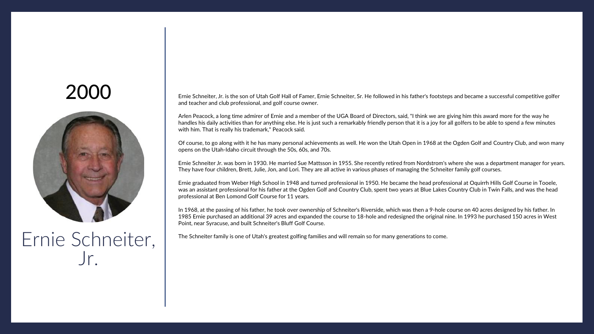<span id="page-24-0"></span>

Ernie Schneiter, Jr.

Ernie Schneiter, Jr. is the son of Utah Golf Hall of Famer, Ernie Schneiter, Sr. He followed in his father's footsteps and became a successful competitive golfer and teacher and club professional, and golf course owner.

Arlen Peacock, a long time admirer of Ernie and a member of the UGA Board of Directors, said, "I think we are giving him this award more for the way he handles his daily activities than for anything else. He is just such a remarkably friendly person that it is a joy for all golfers to be able to spend a few minutes with him. That is really his trademark," Peacock said.

Of course, to go along with it he has many personal achievements as well. He won the Utah Open in 1968 at the Ogden Golf and Country Club, and won many opens on the Utah-Idaho circuit through the 50s, 60s, and 70s.

Ernie Schneiter Jr. was born in 1930. He married Sue Mattsson in 1955. She recently retired from Nordstrom's where she was a department manager for years. They have four children, Brett, Julie, Jon, and Lori. They are all active in various phases of managing the Schneiter family golf courses.

Ernie graduated from Weber High School in 1948 and turned professional in 1950. He became the head professional at Oquirrh Hills Golf Course in Tooele, was an assistant professional for his father at the Ogden Golf and Country Club, spent two years at Blue Lakes Country Club in Twin Falls, and was the head professional at Ben Lomond Golf Course for 11 years.

In 1968, at the passing of his father, he took over ownership of Schneiter's Riverside, which was then a 9-hole course on 40 acres designed by his father. In 1985 Ernie purchased an additional 39 acres and expanded the course to 18-hole and redesigned the original nine. In 1993 he purchased 150 acres in West Point, near Syracuse, and built Schneiter's Bluff Golf Course.

The Schneiter family is one of Utah's greatest golfing families and will remain so for many generations to come.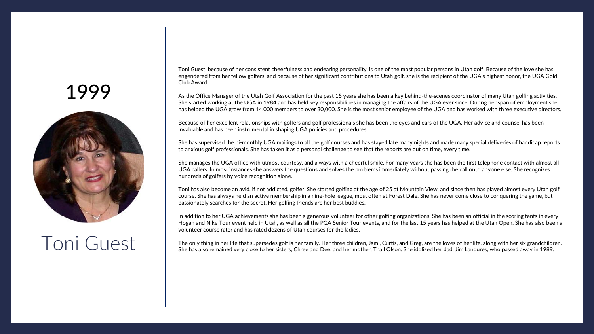<span id="page-25-0"></span>

#### Toni Guest

Toni Guest, because of her consistent cheerfulness and endearing personality, is one of the most popular persons in Utah golf. Because of the love she has engendered from her fellow golfers, and because of her significant contributions to Utah golf, she is the recipient of the UGA's highest honor, the UGA Gold Club Award.

As the Office Manager of the Utah Golf Association for the past 15 years she has been a key behind-the-scenes coordinator of many Utah golfing activities. She started working at the UGA in 1984 and has held key responsibilities in managing the affairs of the UGA ever since. During her span of employment she has helped the UGA grow from 14,000 members to over 30,000. She is the most senior employee of the UGA and has worked with three executive directors.

Because of her excellent relationships with golfers and golf professionals she has been the eyes and ears of the UGA. Her advice and counsel has been invaluable and has been instrumental in shaping UGA policies and procedures.

She has supervised the bi-monthly UGA mailings to all the golf courses and has stayed late many nights and made many special deliveries of handicap reports to anxious golf professionals. She has taken it as a personal challenge to see that the reports are out on time, every time.

She manages the UGA office with utmost courtesy, and always with a cheerful smile. For many years she has been the first telephone contact with almost all UGA callers. In most instances she answers the questions and solves the problems immediately without passing the call onto anyone else. She recognizes hundreds of golfers by voice recognition alone.

Toni has also become an avid, if not addicted, golfer. She started golfing at the age of 25 at Mountain View, and since then has played almost every Utah golf course. She has always held an active membership in a nine-hole league, most often at Forest Dale. She has never come close to conquering the game, but passionately searches for the secret. Her golfing friends are her best buddies.

In addition to her UGA achievements she has been a generous volunteer for other golfing organizations. She has been an official in the scoring tents in every Hogan and Nike Tour event held in Utah, as well as all the PGA Senior Tour events, and for the last 15 years has helped at the Utah Open. She has also been a volunteer course rater and has rated dozens of Utah courses for the ladies.

The only thing in her life that supersedes golf is her family. Her three children, Jami, Curtis, and Greg, are the loves of her life, along with her six grandchildren. She has also remained very close to her sisters, Chree and Dee, and her mother, Thail Olson. She idolized her dad, Jim Landures, who passed away in 1989.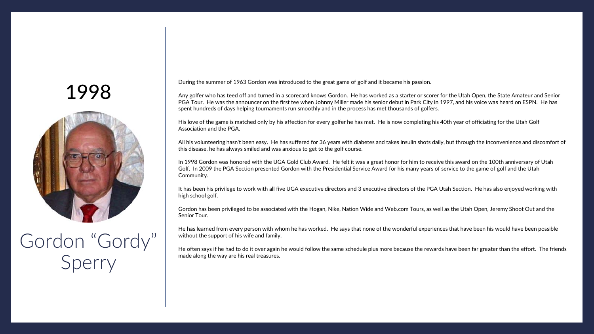<span id="page-26-0"></span>

# Gordon "Gordy" Sperry

During the summer of 1963 Gordon was introduced to the great game of golf and it became his passion.

Any golfer who has teed off and turned in a scorecard knows Gordon. He has worked as a starter or scorer for the Utah Open, the State Amateur and Senior PGA Tour. He was the announcer on the first tee when Johnny Miller made his senior debut in Park City in 1997, and his voice was heard on ESPN. He has spent hundreds of days helping tournaments run smoothly and in the process has met thousands of golfers.

His love of the game is matched only by his affection for every golfer he has met. He is now completing his 40th year of officiating for the Utah Golf Association and the PGA.

All his volunteering hasn't been easy. He has suffered for 36 years with diabetes and takes insulin shots daily, but through the inconvenience and discomfort of this disease, he has always smiled and was anxious to get to the golf course.

In 1998 Gordon was honored with the UGA Gold Club Award. He felt it was a great honor for him to receive this award on the 100th anniversary of Utah Golf. In 2009 the PGA Section presented Gordon with the Presidential Service Award for his many years of service to the game of golf and the Utah Community.

It has been his privilege to work with all five UGA executive directors and 3 executive directors of the PGA Utah Section. He has also enjoyed working with high school golf.

Gordon has been privileged to be associated with the Hogan, Nike, Nation Wide and Web.com Tours, as well as the Utah Open, Jeremy Shoot Out and the Senior Tour.

He has learned from every person with whom he has worked. He says that none of the wonderful experiences that have been his would have been possible without the support of his wife and family.

He often says if he had to do it over again he would follow the same schedule plus more because the rewards have been far greater than the effort. The friends made along the way are his real treasures.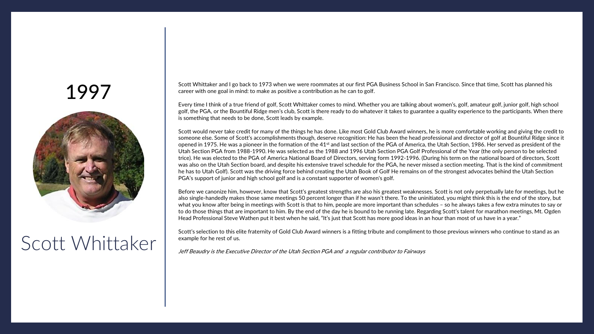<span id="page-27-0"></span>

#### Scott Whittaker

Scott Whittaker and I go back to 1973 when we were roommates at our first PGA Business School in San Francisco. Since that time, Scott has planned his career with one goal in mind: to make as positive a contribution as he can to golf.

Every time I think of a true friend of golf, Scott Whittaker comes to mind. Whether you are talking about women's, golf, amateur golf, junior golf, high school golf, the PGA, or the Bountiful Ridge men's club, Scott is there ready to do whatever it takes to guarantee a quality experience to the participants. When there is something that needs to be done, Scott leads by example.

Scott would never take credit for many of the things he has done. Like most Gold Club Award winners, he is more comfortable working and giving the credit to someone else. Some of Scott's accomplishments though, deserve recognition: He has been the head professional and director of golf at Bountiful Ridge since it opened in 1975. He was a pioneer in the formation of the 41<sup>st</sup> and last section of the PGA of America, the Utah Section, 1986. Her served as president of the Utah Section PGA from 1988-1990. He was selected as the 1988 and 1996 Utah Section PGA Golf Professional of the Year (the only person to be selected trice). He was elected to the PGA of America National Board of Directors, serving form 1992-1996. (During his term on the national board of directors, Scott was also on the Utah Section board, and despite his extensive travel schedule for the PGA, he never missed a section meeting. That is the kind of commitment he has to Utah Golf). Scott was the driving force behind creating the Utah Book of Golf He remains on of the strongest advocates behind the Utah Section PGA's support of junior and high school golf and is a constant supporter of women's golf.

Before we canonize him, however, know that Scott's greatest strengths are also his greatest weaknesses. Scott is not only perpetually late for meetings, but he also single-handedly makes those same meetings 50 percent longer than if he wasn't there. To the uninitiated, you might think this is the end of the story, but what you know after being in meetings with Scott is that to him, people are more important than schedules – so he always takes a few extra minutes to say or to do those things that are important to him. By the end of the day he is bound to be running late. Regarding Scott's talent for marathon meetings, Mt. Ogden Head Professional Steve Wathen put it best when he said, "It's just that Scott has more good ideas in an hour than most of us have in a year."

Scott's selection to this elite fraternity of Gold Club Award winners is a fitting tribute and compliment to those previous winners who continue to stand as an example for he rest of us.

Jeff Beaudry is the Executive Director of the Utah Section PGA and a regular contributor to Fairways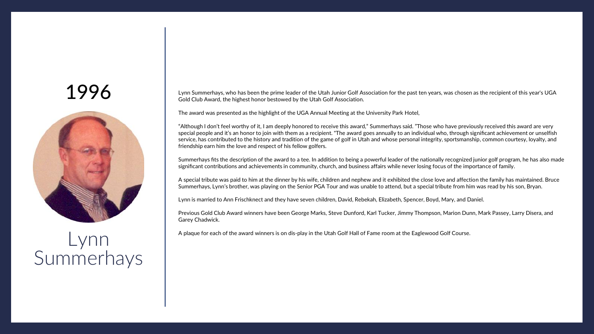<span id="page-28-0"></span>

#### Lynn Summerhays

Lynn Summerhays, who has been the prime leader of the Utah Junior Golf Association for the past ten years, was chosen as the recipient of this year's UGA Gold Club Award, the highest honor bestowed by the Utah Golf Association.

The award was presented as the highlight of the UGA Annual Meeting at the University Park Hotel,

"Although I don't feel worthy of it, I am deeply honored to receive this award," Summerhays said. "Those who have previously received this award are very special people and it's an honor to join with them as a recipient. "The award goes annually to an individual who, through significant achievement or unselfish service, has contributed to the history and tradition of the game of golf in Utah and whose personal integrity, sportsmanship, common courtesy, loyalty, and friendship earn him the love and respect of his fellow golfers.

Summerhays fits the description of the award to a tee. In addition to being a powerful leader of the nationally recognized junior golf program, he has also made significant contributions and achievements in community, church, and business affairs while never losing focus of the importance of family.

A special tribute was paid to him at the dinner by his wife, children and nephew and it exhibited the close love and affection the family has maintained. Bruce Summerhays, Lynn's brother, was playing on the Senior PGA Tour and was unable to attend, but a special tribute from him was read by his son, Bryan.

Lynn is married to Ann Frischknect and they have seven children, David, Rebekah, Elizabeth, Spencer, Boyd, Mary, and Daniel.

Previous Gold Club Award winners have been George Marks, Steve Dunford, Karl Tucker, Jimmy Thompson, Marion Dunn, Mark Passey, Larry Disera, and Garey Chadwick.

A plaque for each of the award winners is on dis-play in the Utah Golf Hall of Fame room at the Eaglewood Golf Course.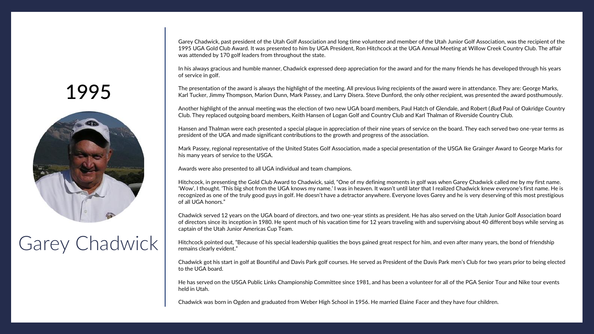Garey Chadwick, past president of the Utah Golf Association and long time volunteer and member of the Utah Junior Golf Association, was the recipient of the 1995 UGA Gold Club Award. It was presented to him by UGA President, Ron Hitchcock at the UGA Annual Meeting at Willow Creek Country Club. The affair was attended by 170 golf leaders from throughout the state.

In his always gracious and humble manner, Chadwick expressed deep appreciation for the award and for the many friends he has developed through his years of service in golf.

The presentation of the award is always the highlight of the meeting. All previous living recipients of the award were in attendance. They are: George Marks, Karl Tucker, Jimmy Thompson, Marion Dunn, Mark Passey, and Larry Disera. Steve Dunford, the only other recipient, was presented the award posthumously.

Another highlight of the annual meeting was the election of two new UGA board members, Paul Hatch of Glendale, and Robert (*Bud*) Paul of Oakridge Country Club. They replaced outgoing board members, Keith Hansen of Logan Golf and Country Club and Karl Thalman of Riverside Country Club.

Hansen and Thalman were each presented a special plaque in appreciation of their nine years of service on the board. They each served two one-year terms as president of the UGA and made significant contributions to the growth and progress of the association.

Mark Passey, regional representative of the United States Golf Association, made a special presentation of the USGA Ike Grainger Award to George Marks for his many years of service to the USGA.

Awards were also presented to all UGA individual and team champions.

Hitchcock, in presenting the Gold Club Award to Chadwick, said, "One of my defining moments in golf was when Garey Chadwick called me by my first name. 'Wow', I thought. 'This big shot from the UGA knows my name.' I was in heaven. It wasn't until later that I realized Chadwick knew everyone's first name. He is recognized as one of the truly good guys in golf. He doesn't have a detractor anywhere. Everyone loves Garey and he is very deserving of this most prestigious of all UGA honors."

Chadwick served 12 years on the UGA board of directors, and two one-year stints as president. He has also served on the Utah Junior Golf Association board of directors since its inception in 1980. He spent much of his vacation time for 12 years traveling with and supervising about 40 different boys while serving as captain of the Utah Junior Americas Cup Team.

Hitchcock pointed out, "Because of his special leadership qualities the boys gained great respect for him, and even after many years, the bond of friendship remains clearly evident."

Chadwick got his start in golf at Bountiful and Davis Park golf courses. He served as President of the Davis Park men's Club for two years prior to being elected to the UGA board.

He has served on the USGA Public Links Championship Committee since 1981, and has been a volunteer for all of the PGA Senior Tour and Nike tour events held in Utah.

1998 Chadwick was born in Ogden and graduated from Weber High School in 1956. He married Elaine Facer and they have four children.

#### 1995



# Garey Chadwick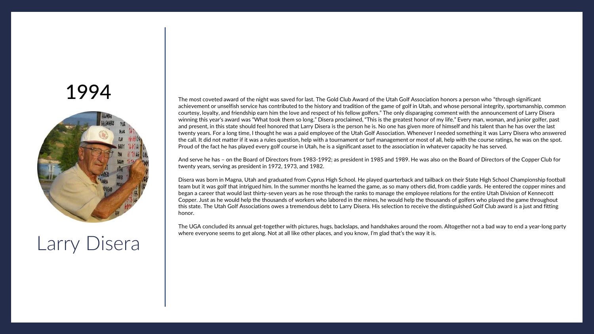

# Larry Disera

The most coveted award of the night was saved for last. The Gold Club Award of the Utah Golf Association honors a person who "through significant achievement or unselfish service has contributed to the history and tradition of the game of golf in Utah, and whose personal integrity, sportsmanship, common courtesy, loyalty, and friendship earn him the love and respect of his fellow golfers." The only disparaging comment with the announcement of Larry Disera winning this year's award was "What took them so long." Disera proclaimed, "This is the greatest honor of my life." Every man, woman, and junior golfer, past and present, in this state should feel honored that Larry Disera is the person he is. No one has given more of himself and his talent than he has over the last twenty years. For a long time, I thought he was a paid employee of the Utah Golf Association. Whenever I needed something it was Larry Disera who answered the call. It did not matter if it was a rules question, help with a tournament or turf management or most of all, help with the course ratings, he was on the spot. Proud of the fact he has played every golf course in Utah, he is a significant asset to the association in whatever capacity he has served.

And serve he has – on the Board of Directors from 1983-1992; as president in 1985 and 1989. He was also on the Board of Directors of the Copper Club for twenty years, serving as president in 1972, 1973, and 1982.

Disera was born in Magna, Utah and graduated from Cyprus High School. He played quarterback and tailback on their State High School Championship football team but it was golf that intrigued him. In the summer months he learned the game, as so many others did, from caddie yards. He entered the copper mines and began a career that would last thirty-seven years as he rose through the ranks to manage the employee relations for the entire Utah Division of Kennecott Copper. Just as he would help the thousands of workers who labored in the mines, he would help the thousands of golfers who played the game throughout this state. The Utah Golf Associations owes a tremendous debt to Larry Disera. His selection to receive the distinguished Golf Club award is a just and fitting honor.

The UGA concluded its annual get-together with pictures, hugs, backslaps, and handshakes around the room. Altogether not a bad way to end a year-long party where everyone seems to get along. Not at all like other places, and you know, I'm glad that's the way it is.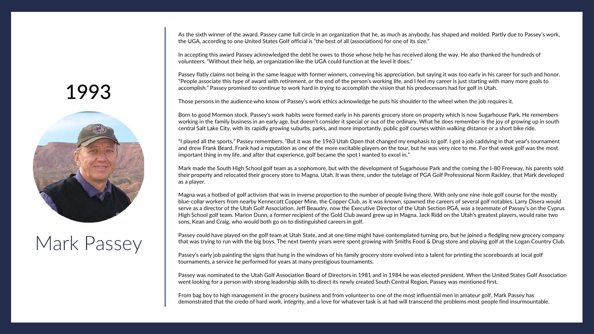As the sixth winner of the award, Passey came full circle in an organization that he, as much as anybody, has shaped and molded. Partly due to Passey's work, the UGA, according to one United States Golf official is "the best of all (associations) for one of its size."

In accepting this award Passey acknowledged the debt he owes to those whose help he has received along the way. He also thanked the hundreds of volunteers. "Without their help, an organization like the UGA could function at the level it does."

Passey flatly claims not being in the same league with former winners, conveying his appreciation, but saying it was too early in his career for such and honor. "People associate this type of award with retirement, or the end of the person's working life, and I feel my career is just starting with many more goals to accomplish." Passey promised to continue to work hard in trying to accomplish the vision that his predecessors had for golf in Utah.

Those persons in the audience who know of Passey's work ethics acknowledge he puts his shoulder to the wheel when the job requires it.

Born to good Mormon stock, Passey's work habits were formed early in his parents grocery store on property which is now Sugarhouse Park. He remembers working in the family business in an early age, but doesn't consider it special or out of the ordinary. What he does remember is the joy of growing up in south central Salt Lake City, with its rapidly growing suburbs, parks, and more importantly, public golf courses within walking distance or a short bike ride.

"I played all the sports," Passey remembers. "But it was the 1963 Utah Open that changed my emphasis to golf. I got a job caddying in that year's tournament and drew Frank Beard. Frank had a reputation as one of the more excitable players on the tour, but he was very nice to me. For that week golf was the most important thing in my life, and after that experience, golf became the spot I wanted to excel in."

Mark made the South High School golf team as a sophomore, but with the development of Sugarhouse Park and the coming the I-80 Freeway, his parents sold their property and relocated their grocery store to Magna, Utah. It was there, under the tutelage of PGA Golf Professional Norm Rackley, that Mark developed as a player.

Magna was a hotbed of golf activism that was in inverse proportion to the number of people living there. With only one nine-hole golf course for the mostly blue-collar workers from nearby Kennecott Copper Mine, the Copper Club, as it was known, spawned the careers of several golf notables. Larry Disera would serve as a director of the Utah Golf Association. Jeff Beaudry, now the Executive Director of the Utah Section PGA, was a teammate of Passey's on the Cyprus High School golf team. Marion Dunn, a former recipient of the Gold Club award grew up in Magna. Jack Ridd on the Utah's greatest players, would raise two sons, Kean and Craig, who would both go on to distinguished careers in golf.

Passey could have played on the golf team at Utah State, and at one time might have contemplated turning pro, but he joined a fledgling new grocery company that was trying to run with the big boys. The next twenty years were spent growing with Smiths Food & Drug store and playing golf at the Logan Country Club.

Passey's early job painting the signs that hung in the windows of his family grocery store evolved into a talent for printing the scoreboards at local golf tournaments, a service he performed for years at many prestigious tournaments.

Passey was nominated to the Utah Golf Association Board of Directors in 1981 and in 1984 he was elected president. When the United States Golf Association went looking for a person with strong leadership skills to direct its newly created South Central Region, Passey was mentioned first.

From bag boy to high management in the grocery business and from volunteer to one of the most influential men in amateur golf, Mark Passey has<br>demonstrated that the credo of hard work, integrity, and a love for whatever ta

#### <span id="page-31-0"></span>1993



# Mark Passey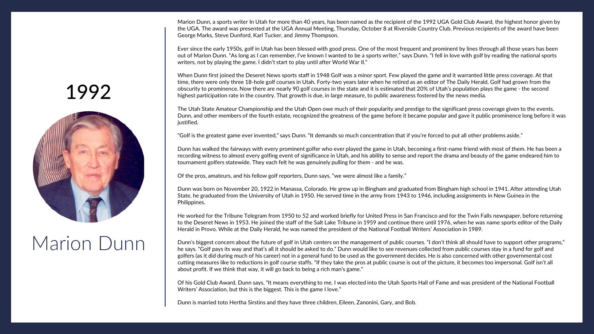Marion Dunn, a sports writer In Utah for more than 40 years, has been named as the recipient of the 1992 UGA Gold Club Award, the highest honor given by the UGA. The award was presented at the UGA Annual Meeting, Thursday, October 8 at Riverside Country Club. Previous recipients of the award have been George Marks, Steve Dunford, Karl Tucker, and Jimmy Thompson.

Ever since the early 1950s, golf in Utah has been blessed with good press. One of the most frequent and prominent by lines through all those years has been out of Marion Dunn. "As long as I can remember, I've known I wanted to be a sports writer," says Dunn. "I fell in love with golf by reading the national sports writers, not by playing the game. I didn't start to play until after World War II."

When Dunn first joined the Deseret News sports staff in 1948 Golf was a minor sport. Few played the game and it warranted little press coverage. At that time, there were only three 18-hole golf courses in Utah. Forty-two years later when he retired as an editor of The Daily Herald, Golf had grown from the obscurity to prominence. Now there are nearly 90 golf courses in the state and it is estimated that 20% of Utah's population plays the game - the second highest participation rate in the country. That growth is due, in large measure, to public awareness fostered by the news media.

The Utah State Amateur Championship and the Utah Open owe much of their popularity and prestige to the significant press coverage given to the events. Dunn, and other members of the fourth estate, recognized the greatness of the game before it became popular and gave it public prominence long before it was justified.

"Golf is the greatest game ever invented," says Dunn. "It demands so much concentration that if you're forced to put all other problems aside."

Dunn has walked the fairways with every prominent golfer who ever played the game in Utah, becoming a first-name friend with most of them. He has been a recording witness to almost every golfing event of significance in Utah, and his ability to sense and report the drama and beauty of the game endeared him to tournament golfers statewide. They each felt he was genuinely pulling for them - and he was.

Of the pros, amateurs, and his fellow golf reporters, Dunn says, "we were almost like a family."

Dunn was born on November 20, 1922 in Manassa, Colorado. He grew up in Bingham and graduated from Bingham high school in 1941. After attending Utah State, he graduated from the University of Utah in 1950. He served time in the army from 1943 to 1946, including assignments in New Guinea in the Philippines.

He worked for the Tribune Telegram from 1950 to 52 and worked briefly for United Press in San Francisco and for the Twin Falls newspaper, before returning to the Deseret News in 1953. He joined the staff of the Salt Lake Tribune in 1959 and continue there until 1976, when he was name sports editor of the Daily Herald in Provo. While at the Daily Herald, he was named the president of the National Football Writers' Association in 1989.

Dunn's biggest concern about the future of golf in Utah centers on the management of public courses. "I don't think all should have to support other programs," he says. "Golf pays its way and that's all it should be asked to do." Dunn would like to see revenues collected from public courses stay in a fund for golf and golfers (as it did during much of his career) not in a general fund to be used as the government decides. He is also concerned with other governmental cost cutting measures like to reductions in golf course staffs. "If they take the pros at public course is out of the picture, it becomes too impersonal. Golf isn't all about profit. If we think that way, it will go back to being a rich man's game."

Of his Gold Club Award, Dunn says, "It means everything to me. I was elected into the Utah Sports Hall of Fame and was president of the National Football Writers' Association, but this is the biggest. This is the game I love."

Dunn is married toto Hertha Sirstins and they have three children, Eileen, Zanonini, Gary, and Bob.

# <span id="page-32-0"></span>1992



# Marion Dunn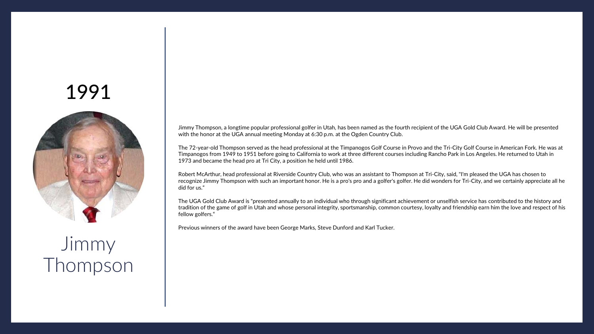<span id="page-33-0"></span>

Jimmy Thompson Jimmy Thompson, a longtime popular professional golfer in Utah, has been named as the fourth recipient of the UGA Gold Club Award. He will be presented with the honor at the UGA annual meeting Monday at 6:30 p.m. at the Ogden Country Club.

The 72-year-old Thompson served as the head professional at the Timpanogos Golf Course in Provo and the Tri-City Golf Course in American Fork. He was at Timpanogos from 1949 to 1951 before going to California to work at three different courses including Rancho Park in Los Angeles. He returned to Utah in 1973 and became the head pro at Tri City, a position he held until 1986.

Robert McArthur, head professional at Riverside Country Club, who was an assistant to Thompson at Tri-City, said, "I'm pleased the UGA has chosen to recognize Jimmy Thompson with such an important honor. He is a pro's pro and a golfer's golfer. He did wonders for Tri-City, and we certainly appreciate all he did for us."

The UGA Gold Club Award is "presented annually to an individual who through significant achievement or unselfish service has contributed to the history and tradition of the game of golf in Utah and whose personal integrity, sportsmanship, common courtesy, loyalty and friendship earn him the love and respect of his fellow golfers."

Previous winners of the award have been George Marks, Steve Dunford and Karl Tucker.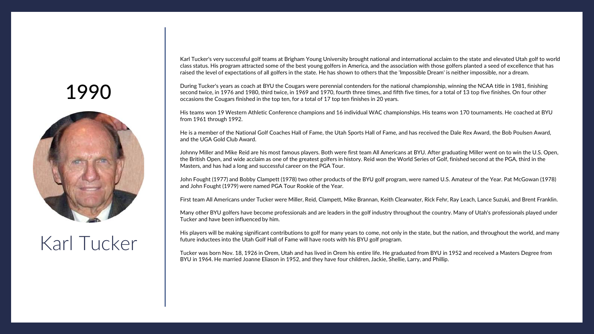<span id="page-34-0"></span>

# Karl Tucker

Karl Tucker's very successful golf teams at Brigham Young University brought national and international acclaim to the state and elevated Utah golf to world class status. His program attracted some of the best young golfers in America, and the association with those golfers planted a seed of excellence that has raised the level of expectations of all golfers in the state. He has shown to others that the 'Impossible Dream' is neither impossible, nor a dream.

During Tucker's years as coach at BYU the Cougars were perennial contenders for the national championship, winning the NCAA title in 1981, finishing second twice, in 1976 and 1980, third twice, in 1969 and 1970, fourth three times, and fifth five times, for a total of 13 top five finishes. On four other occasions the Cougars finished in the top ten, for a total of 17 top ten finishes in 20 years.

His teams won 19 Western Athletic Conference champions and 16 individual WAC championships. His teams won 170 tournaments. He coached at BYU from 1961 through 1992.

He is a member of the National Golf Coaches Hall of Fame, the Utah Sports Hall of Fame, and has received the Dale Rex Award, the Bob Poulsen Award, and the UGA Gold Club Award.

Johnny Miller and Mike Reid are his most famous players. Both were first team All Americans at BYU. After graduating Miller went on to win the U.S. Open, the British Open, and wide acclaim as one of the greatest golfers in history. Reid won the World Series of Golf, finished second at the PGA, third in the Masters, and has had a long and successful career on the PGA Tour.

John Fought (1977) and Bobby Clampett (1978) two other products of the BYU golf program, were named U.S. Amateur of the Year. Pat McGowan (1978) and John Fought (1979) were named PGA Tour Rookie of the Year.

First team All Americans under Tucker were Miller, Reid, Clampett, Mike Brannan, Keith Clearwater, Rick Fehr, Ray Leach, Lance Suzuki, and Brent Franklin.

Many other BYU golfers have become professionals and are leaders in the golf industry throughout the country. Many of Utah's professionals played under Tucker and have been influenced by him.

His players will be making significant contributions to golf for many years to come, not only in the state, but the nation, and throughout the world, and many future inductees into the Utah Golf Hall of Fame will have roots with his BYU golf program.

Tucker was born Nov. 18, 1926 in Orem, Utah and has lived in Orem his entire life. He graduated from BYU in 1952 and received a Masters Degree from BYU in 1964. He married Joanne Eliason in 1952, and they have four children, Jackie, Shellie, Larry, and Phillip.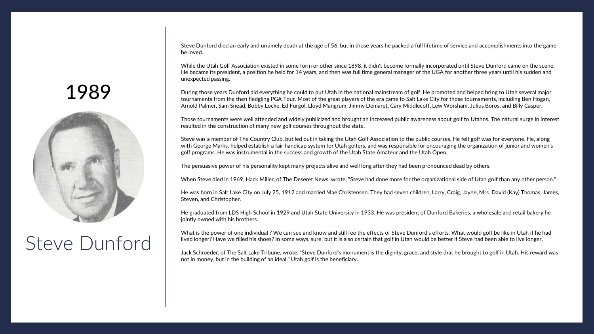Steve Dunford died an early and untimely death at the age of 56, but in those years he packed a full lifetime of service and accomplishments into the game he loved.

While the Utah Golf Association existed in some form or other since 1898, it didn't become formally incorporated until Steve Dunford came on the scene. He became its president, a position he held for 14 years, and then was full time general manager of the UGA for another three years until his sudden and unexpected passing.

During those years Dunford did everything he could to put Utah in the national mainstream of golf. He promoted and helped bring to Utah several major tournaments from the then fledgling PGA Tour. Most of the great players of the era came to Salt Lake City for those tournaments, including Ben Hogan, Arnold Palmer, Sam Snead, Bobby Locke, Ed Furgol, Lloyd Mangrum, Jimmy Demaret, Cary Middlecoff, Lew Worsham, Julius Boros, and Billy Casper.

Those tournaments were well attended and widely publicized and brought an increased public awareness about golf to Utahns. The natural surge in interest resulted in the construction of many new golf courses throughout the state.

Steve was a member of The Country Club, but led out in taking the Utah Golf Association to the public courses. He felt golf was for everyone. He, along with George Marks, helped establish a fair handicap system for Utah golfers, and was responsible for encouraging the organization of junior and women's golf programs. He was instrumental in the success and growth of the Utah State Amateur and the Utah Open.

The persuasive power of his personality kept many projects alive and well long after they had been pronounced dead by others.

When Steve died in 1969, Hack Miller, of The Deseret News, wrote, "Steve had done more for the organizational side of Utah golf than any other person."

He was born in Salt Lake City on July 25, 1912 and married Mae Christensen. They had seven children, Larry, Craig, Jayne, Mrs. David (Kay) Thomas, James, Steven, and Christopher.

He graduated from LDS High School in 1929 and Utah State University in 1933. He was president of Dunford Bakeries, a wholesale and retail bakery he jointly owned with his brothers.

What is the power of one individual ? We can see and know and still fee the effects of Steve Dunford's efforts. What would golf be like in Utah if he had lived longer? Have we filled his shoes? In some ways, sure; but it is also certain that golf in Utah would be better if Steve had been able to live longer.

Jack Schroeder, of The Salt Lake Tribune, wrote, "Steve Dunford's monument is the dignity, grace, and style that he brought to golf in Utah. His reward was not in money, but in the building of an ideal." Utah golf is the beneficiary.

#### <span id="page-35-0"></span>1989



#### Steve Dunford